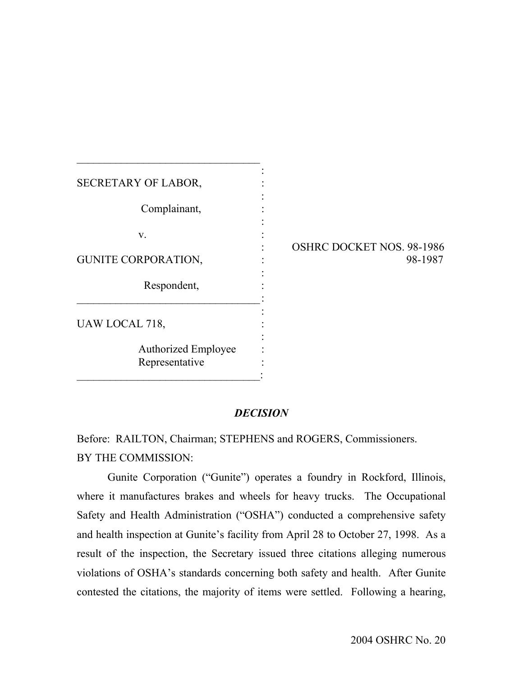| <b>SECRETARY OF LABOR,</b>                   |  |  |  |  |  |
|----------------------------------------------|--|--|--|--|--|
| Complainant,                                 |  |  |  |  |  |
| V.                                           |  |  |  |  |  |
| <b>GUNITE CORPORATION,</b>                   |  |  |  |  |  |
| Respondent,                                  |  |  |  |  |  |
| UAW LOCAL 718,                               |  |  |  |  |  |
| <b>Authorized Employee</b><br>Representative |  |  |  |  |  |

# OSHRC DOCKET NOS. 98-1986 98-1987

# *DECISION*

Before: RAILTON, Chairman; STEPHENS and ROGERS, Commissioners. BY THE COMMISSION:

Gunite Corporation ("Gunite") operates a foundry in Rockford, Illinois, where it manufactures brakes and wheels for heavy trucks. The Occupational Safety and Health Administration ("OSHA") conducted a comprehensive safety and health inspection at Gunite's facility from April 28 to October 27, 1998. As a result of the inspection, the Secretary issued three citations alleging numerous violations of OSHA's standards concerning both safety and health. After Gunite contested the citations, the majority of items were settled. Following a hearing,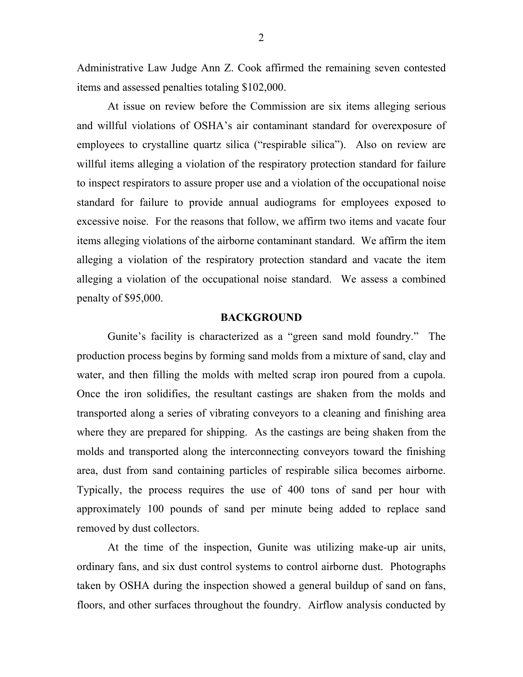Administrative Law Judge Ann Z. Cook affirmed the remaining seven contested items and assessed penalties totaling \$102,000.

At issue on review before the Commission are six items alleging serious and willful violations of OSHA's air contaminant standard for overexposure of employees to crystalline quartz silica ("respirable silica"). Also on review are willful items alleging a violation of the respiratory protection standard for failure to inspect respirators to assure proper use and a violation of the occupational noise standard for failure to provide annual audiograms for employees exposed to excessive noise. For the reasons that follow, we affirm two items and vacate four items alleging violations of the airborne contaminant standard. We affirm the item alleging a violation of the respiratory protection standard and vacate the item alleging a violation of the occupational noise standard. We assess a combined penalty of \$95,000.

### **BACKGROUND**

Gunite's facility is characterized as a "green sand mold foundry." The production process begins by forming sand molds from a mixture of sand, clay and water, and then filling the molds with melted scrap iron poured from a cupola. Once the iron solidifies, the resultant castings are shaken from the molds and transported along a series of vibrating conveyors to a cleaning and finishing area where they are prepared for shipping. As the castings are being shaken from the molds and transported along the interconnecting conveyors toward the finishing area, dust from sand containing particles of respirable silica becomes airborne. Typically, the process requires the use of 400 tons of sand per hour with approximately 100 pounds of sand per minute being added to replace sand removed by dust collectors.

At the time of the inspection, Gunite was utilizing make-up air units, ordinary fans, and six dust control systems to control airborne dust. Photographs taken by OSHA during the inspection showed a general buildup of sand on fans, floors, and other surfaces throughout the foundry. Airflow analysis conducted by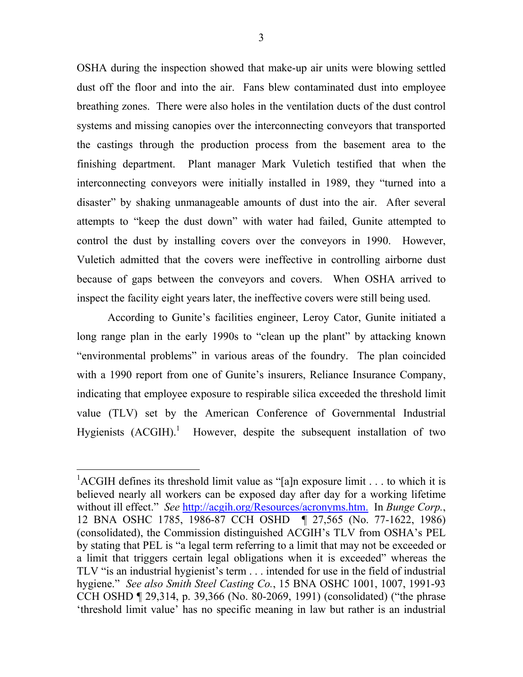OSHA during the inspection showed that make-up air units were blowing settled dust off the floor and into the air. Fans blew contaminated dust into employee breathing zones. There were also holes in the ventilation ducts of the dust control systems and missing canopies over the interconnecting conveyors that transported the castings through the production process from the basement area to the finishing department. Plant manager Mark Vuletich testified that when the interconnecting conveyors were initially installed in 1989, they "turned into a disaster" by shaking unmanageable amounts of dust into the air. After several attempts to "keep the dust down" with water had failed, Gunite attempted to control the dust by installing covers over the conveyors in 1990. However, Vuletich admitted that the covers were ineffective in controlling airborne dust because of gaps between the conveyors and covers. When OSHA arrived to inspect the facility eight years later, the ineffective covers were still being used.

According to Gunite's facilities engineer, Leroy Cator, Gunite initiated a long range plan in the early 1990s to "clean up the plant" by attacking known "environmental problems" in various areas of the foundry. The plan coincided with a 1990 report from one of Gunite's insurers, Reliance Insurance Company, indicating that employee exposure to respirable silica exceeded the threshold limit value (TLV) set by the American Conference of Governmental Industrial Hygienists  $(ACGIH).$ <sup>1</sup> However, despite the subsequent installation of two

<span id="page-2-0"></span><sup>&</sup>lt;sup>1</sup>ACGIH defines its threshold limit value as "[a]n exposure limit . . . to which it is believed nearly all workers can be exposed day after day for a working lifetime without ill effect." *See* <http://acgih.org/Resources/acronyms.htm.> In *Bunge Corp.*, 12 BNA OSHC 1785, 1986-87 CCH OSHD ¶ 27,565 (No. 77-1622, 1986) (consolidated), the Commission distinguished ACGIH's TLV from OSHA's PEL by stating that PEL is "a legal term referring to a limit that may not be exceeded or a limit that triggers certain legal obligations when it is exceeded" whereas the TLV "is an industrial hygienist's term . . . intended for use in the field of industrial hygiene." *See also Smith Steel Casting Co.*, 15 BNA OSHC 1001, 1007, 1991-93 CCH OSHD ¶ 29,314, p. 39,366 (No. 80-2069, 1991) (consolidated) ("the phrase 'threshold limit value' has no specific meaning in law but rather is an industrial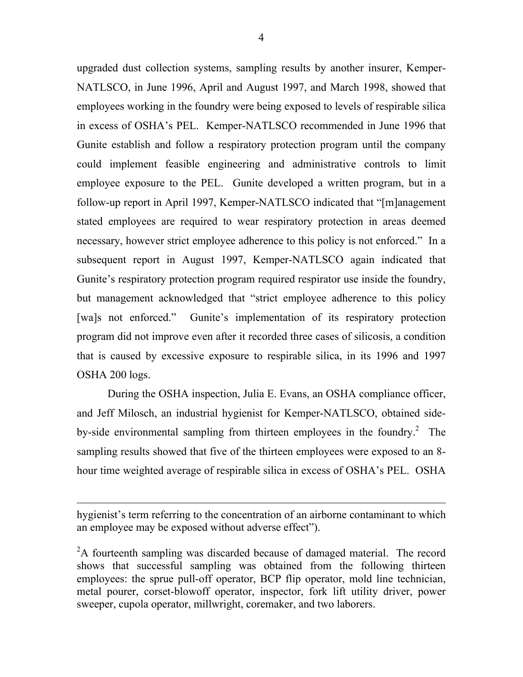upgraded dust collection systems, sampling results by another insurer, Kemper-NATLSCO, in June 1996, April and August 1997, and March 1998, showed that employees working in the foundry were being exposed to levels of respirable silica in excess of OSHA's PEL. Kemper-NATLSCO recommended in June 1996 that Gunite establish and follow a respiratory protection program until the company could implement feasible engineering and administrative controls to limit employee exposure to the PEL. Gunite developed a written program, but in a follow-up report in April 1997, Kemper-NATLSCO indicated that "[m]anagement stated employees are required to wear respiratory protection in areas deemed necessary, however strict employee adherence to this policy is not enforced." In a subsequent report in August 1997, Kemper-NATLSCO again indicated that Gunite's respiratory protection program required respirator use inside the foundry, but management acknowledged that "strict employee adherence to this policy [wa]s not enforced." Gunite's implementation of its respiratory protection program did not improve even after it recorded three cases of silicosis, a condition that is caused by excessive exposure to respirable silica, in its 1996 and 1997 OSHA 200 logs.

During the OSHA inspection, Julia E. Evans, an OSHA compliance officer, and Jeff Milosch, an industrial hygienist for Kemper-NATLSCO, obtained side-by-side environmental sampling from thirteen employees in the foundry.<sup>[2](#page-3-0)</sup> The sampling results showed that five of the thirteen employees were exposed to an 8 hour time weighted average of respirable silica in excess of OSHA's PEL. OSHA

hygienist's term referring to the concentration of an airborne contaminant to which an employee may be exposed without adverse effect").

<span id="page-3-0"></span> $2A$  fourteenth sampling was discarded because of damaged material. The record shows that successful sampling was obtained from the following thirteen employees: the sprue pull-off operator, BCP flip operator, mold line technician, metal pourer, corset-blowoff operator, inspector, fork lift utility driver, power sweeper, cupola operator, millwright, coremaker, and two laborers.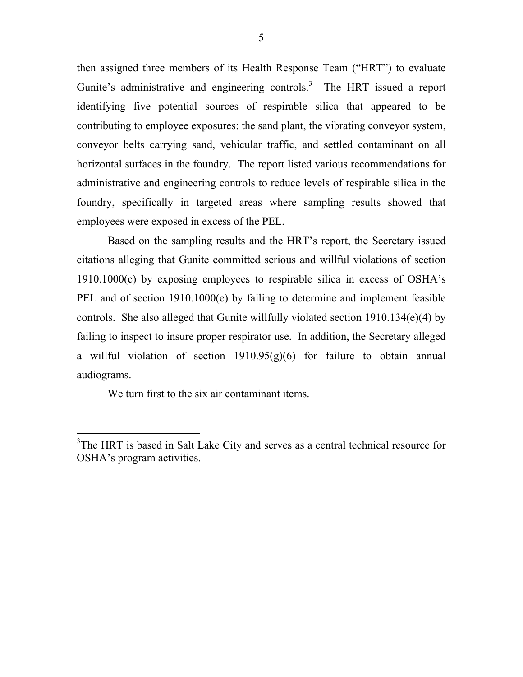then assigned three members of its Health Response Team ("HRT") to evaluate Gunite's administrative and engineering controls.<sup>[3](#page-4-0)</sup> The HRT issued a report identifying five potential sources of respirable silica that appeared to be contributing to employee exposures: the sand plant, the vibrating conveyor system, conveyor belts carrying sand, vehicular traffic, and settled contaminant on all horizontal surfaces in the foundry. The report listed various recommendations for administrative and engineering controls to reduce levels of respirable silica in the foundry, specifically in targeted areas where sampling results showed that employees were exposed in excess of the PEL.

Based on the sampling results and the HRT's report, the Secretary issued citations alleging that Gunite committed serious and willful violations of section 1910.1000(c) by exposing employees to respirable silica in excess of OSHA's PEL and of section 1910.1000(e) by failing to determine and implement feasible controls. She also alleged that Gunite willfully violated section 1910.134(e)(4) by failing to inspect to insure proper respirator use. In addition, the Secretary alleged a willful violation of section  $1910.95(g)(6)$  for failure to obtain annual audiograms.

We turn first to the six air contaminant items.

<span id="page-4-0"></span><sup>&</sup>lt;sup>3</sup>The HRT is based in Salt Lake City and serves as a central technical resource for OSHA's program activities.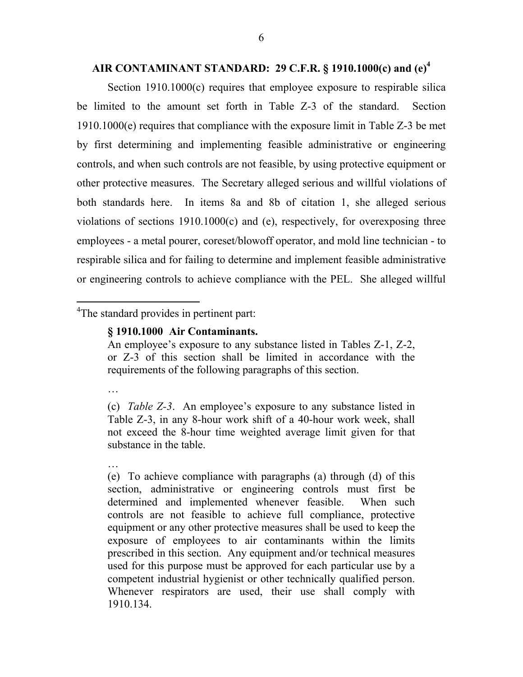# **AIR CONTAMINANT STANDARD: 29 C.F.R. § 1910.1000(c) and (e)[4](#page-5-0)**

Section 1910.1000(c) requires that employee exposure to respirable silica be limited to the amount set forth in Table Z-3 of the standard. Section 1910.1000(e) requires that compliance with the exposure limit in Table Z-3 be met by first determining and implementing feasible administrative or engineering controls, and when such controls are not feasible, by using protective equipment or other protective measures. The Secretary alleged serious and willful violations of both standards here. In items 8a and 8b of citation 1, she alleged serious violations of sections 1910.1000(c) and (e), respectively, for overexposing three employees - a metal pourer, coreset/blowoff operator, and mold line technician - to respirable silica and for failing to determine and implement feasible administrative or engineering controls to achieve compliance with the PEL. She alleged willful

<span id="page-5-0"></span><sup>4</sup>The standard provides in pertinent part:

# **§ 1910.1000 Air Contaminants.**

An employee's exposure to any substance listed in Tables Z-1, Z-2, or Z-3 of this section shall be limited in accordance with the requirements of the following paragraphs of this section.

…

(c) *Table Z-3*. An employee's exposure to any substance listed in Table Z-3, in any 8-hour work shift of a 40-hour work week, shall not exceed the 8-hour time weighted average limit given for that substance in the table.

…

(e) To achieve compliance with paragraphs (a) through (d) of this section, administrative or engineering controls must first be determined and implemented whenever feasible. When such controls are not feasible to achieve full compliance, protective equipment or any other protective measures shall be used to keep the exposure of employees to air contaminants within the limits prescribed in this section. Any equipment and/or technical measures used for this purpose must be approved for each particular use by a competent industrial hygienist or other technically qualified person. Whenever respirators are used, their use shall comply with 1910.134.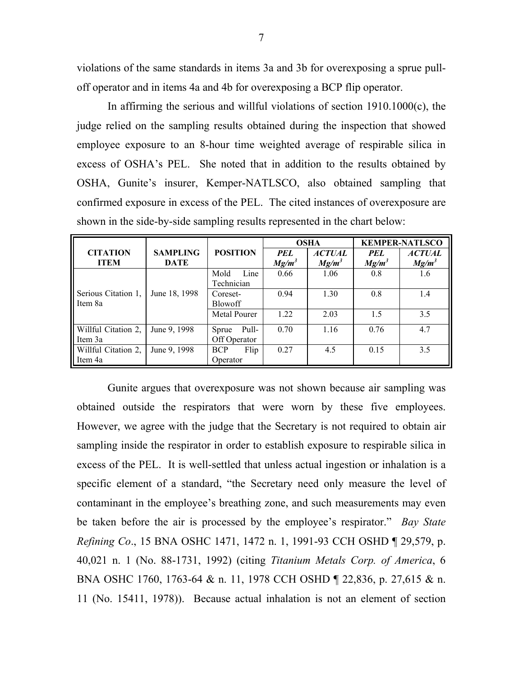violations of the same standards in items 3a and 3b for overexposing a sprue pulloff operator and in items 4a and 4b for overexposing a BCP flip operator.

In affirming the serious and willful violations of section 1910.1000(c), the judge relied on the sampling results obtained during the inspection that showed employee exposure to an 8-hour time weighted average of respirable silica in excess of OSHA's PEL. She noted that in addition to the results obtained by OSHA, Gunite's insurer, Kemper-NATLSCO, also obtained sampling that confirmed exposure in excess of the PEL. The cited instances of overexposure are shown in the side-by-side sampling results represented in the chart below:

|                                |                                |                                | <b>OSHA</b>            |                           | <b>KEMPER-NATLSCO</b>  |                           |
|--------------------------------|--------------------------------|--------------------------------|------------------------|---------------------------|------------------------|---------------------------|
| <b>CITATION</b><br><b>ITEM</b> | <b>SAMPLING</b><br><b>DATE</b> | <b>POSITION</b>                | <b>PEL</b><br>$Mg/m^3$ | <b>ACTUAL</b><br>$Mg/m^3$ | <b>PEL</b><br>$Mg/m^3$ | <b>ACTUAL</b><br>$Mg/m^3$ |
|                                |                                | Line<br>Mold<br>Technician     | 0.66                   | 1.06                      | 0.8                    | 1.6                       |
| Serious Citation 1,<br>Item 8a | June 18, 1998                  | Coreset-<br><b>Blowoff</b>     | 0.94                   | 1.30                      | 0.8                    | 1.4                       |
|                                |                                | <b>Metal Pourer</b>            | 1.22                   | 2.03                      | 15                     | 3.5                       |
| Willful Citation 2,<br>Item 3a | June 9, 1998                   | Pull-<br>Sprue<br>Off Operator | 0.70                   | 1.16                      | 0.76                   | 4.7                       |
| Willful Citation 2,<br>Item 4a | June 9, 1998                   | Flip<br><b>BCP</b><br>Operator | 0.27                   | 4.5                       | 0.15                   | 3.5                       |

Gunite argues that overexposure was not shown because air sampling was obtained outside the respirators that were worn by these five employees. However, we agree with the judge that the Secretary is not required to obtain air sampling inside the respirator in order to establish exposure to respirable silica in excess of the PEL. It is well-settled that unless actual ingestion or inhalation is a specific element of a standard, "the Secretary need only measure the level of contaminant in the employee's breathing zone, and such measurements may even be taken before the air is processed by the employee's respirator." *Bay State Refining Co*., 15 BNA OSHC 1471, 1472 n. 1, 1991-93 CCH OSHD ¶ 29,579, p. 40,021 n. 1 (No. 88-1731, 1992) (citing *Titanium Metals Corp. of America*, 6 BNA OSHC 1760, 1763-64 & n. 11, 1978 CCH OSHD ¶ 22,836, p. 27,615 & n. 11 (No. 15411, 1978)). Because actual inhalation is not an element of section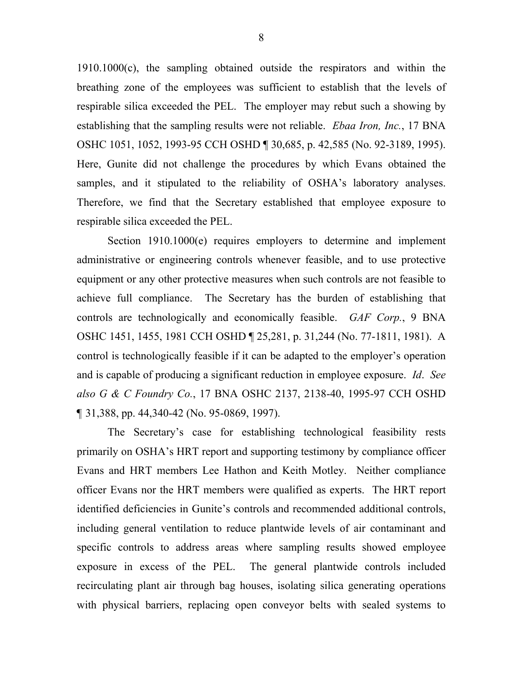1910.1000(c), the sampling obtained outside the respirators and within the breathing zone of the employees was sufficient to establish that the levels of respirable silica exceeded the PEL. The employer may rebut such a showing by establishing that the sampling results were not reliable. *Ebaa Iron, Inc.*, 17 BNA OSHC 1051, 1052, 1993-95 CCH OSHD ¶ 30,685, p. 42,585 (No. 92-3189, 1995). Here, Gunite did not challenge the procedures by which Evans obtained the samples, and it stipulated to the reliability of OSHA's laboratory analyses. Therefore, we find that the Secretary established that employee exposure to respirable silica exceeded the PEL.

Section 1910.1000(e) requires employers to determine and implement administrative or engineering controls whenever feasible, and to use protective equipment or any other protective measures when such controls are not feasible to achieve full compliance. The Secretary has the burden of establishing that controls are technologically and economically feasible. *GAF Corp.*, 9 BNA OSHC 1451, 1455, 1981 CCH OSHD ¶ 25,281, p. 31,244 (No. 77-1811, 1981). A control is technologically feasible if it can be adapted to the employer's operation and is capable of producing a significant reduction in employee exposure. *Id*. *See also G & C Foundry Co.*, 17 BNA OSHC 2137, 2138-40, 1995-97 CCH OSHD ¶ 31,388, pp. 44,340-42 (No. 95-0869, 1997).

The Secretary's case for establishing technological feasibility rests primarily on OSHA's HRT report and supporting testimony by compliance officer Evans and HRT members Lee Hathon and Keith Motley. Neither compliance officer Evans nor the HRT members were qualified as experts. The HRT report identified deficiencies in Gunite's controls and recommended additional controls, including general ventilation to reduce plantwide levels of air contaminant and specific controls to address areas where sampling results showed employee exposure in excess of the PEL. The general plantwide controls included recirculating plant air through bag houses, isolating silica generating operations with physical barriers, replacing open conveyor belts with sealed systems to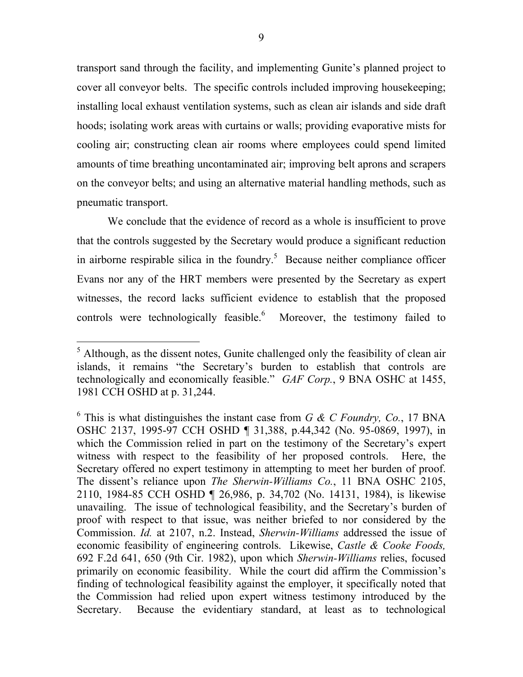transport sand through the facility, and implementing Gunite's planned project to cover all conveyor belts. The specific controls included improving housekeeping; installing local exhaust ventilation systems, such as clean air islands and side draft hoods; isolating work areas with curtains or walls; providing evaporative mists for cooling air; constructing clean air rooms where employees could spend limited amounts of time breathing uncontaminated air; improving belt aprons and scrapers on the conveyor belts; and using an alternative material handling methods, such as pneumatic transport.

We conclude that the evidence of record as a whole is insufficient to prove that the controls suggested by the Secretary would produce a significant reduction in airborne respirable silica in the foundry.<sup>5</sup> Because neither compliance officer Evans nor any of the HRT members were presented by the Secretary as expert witnesses, the record lacks sufficient evidence to establish that the proposed controls were technologically feasible.<sup>[6](#page-8-1)</sup> Moreover, the testimony failed to

<span id="page-8-0"></span> $<sup>5</sup>$  Although, as the dissent notes, Gunite challenged only the feasibility of clean air</sup> islands, it remains "the Secretary's burden to establish that controls are technologically and economically feasible." *GAF Corp.*, 9 BNA OSHC at 1455, 1981 CCH OSHD at p. 31,244.

<span id="page-8-1"></span> $6$  This is what distinguishes the instant case from *G & C Foundry, Co.*, 17 BNA OSHC 2137, 1995-97 CCH OSHD ¶ 31,388, p.44,342 (No. 95-0869, 1997), in which the Commission relied in part on the testimony of the Secretary's expert witness with respect to the feasibility of her proposed controls. Here, the Secretary offered no expert testimony in attempting to meet her burden of proof. The dissent's reliance upon *The Sherwin-Williams Co.*, 11 BNA OSHC 2105, 2110, 1984-85 CCH OSHD ¶ 26,986, p. 34,702 (No. 14131, 1984), is likewise unavailing. The issue of technological feasibility, and the Secretary's burden of proof with respect to that issue, was neither briefed to nor considered by the Commission. *Id.* at 2107, n.2. Instead, *Sherwin-Williams* addressed the issue of economic feasibility of engineering controls. Likewise, *Castle & Cooke Foods,*  692 F.2d 641, 650 (9th Cir. 1982), upon which *Sherwin-Williams* relies, focused primarily on economic feasibility. While the court did affirm the Commission's finding of technological feasibility against the employer, it specifically noted that the Commission had relied upon expert witness testimony introduced by the Secretary. Because the evidentiary standard, at least as to technological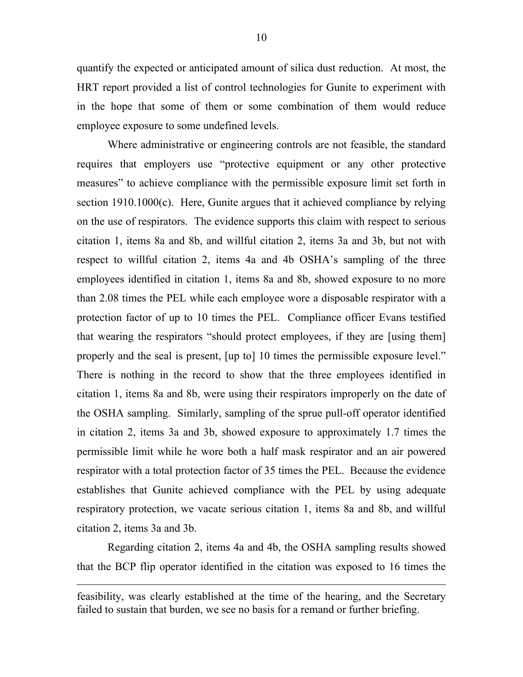quantify the expected or anticipated amount of silica dust reduction. At most, the HRT report provided a list of control technologies for Gunite to experiment with in the hope that some of them or some combination of them would reduce employee exposure to some undefined levels.

Where administrative or engineering controls are not feasible, the standard requires that employers use "protective equipment or any other protective measures" to achieve compliance with the permissible exposure limit set forth in section 1910.1000(c). Here, Gunite argues that it achieved compliance by relying on the use of respirators. The evidence supports this claim with respect to serious citation 1, items 8a and 8b, and willful citation 2, items 3a and 3b, but not with respect to willful citation 2, items 4a and 4b OSHA's sampling of the three employees identified in citation 1, items 8a and 8b, showed exposure to no more than 2.08 times the PEL while each employee wore a disposable respirator with a protection factor of up to 10 times the PEL. Compliance officer Evans testified that wearing the respirators "should protect employees, if they are [using them] properly and the seal is present, [up to] 10 times the permissible exposure level." There is nothing in the record to show that the three employees identified in citation 1, items 8a and 8b, were using their respirators improperly on the date of the OSHA sampling. Similarly, sampling of the sprue pull-off operator identified in citation 2, items 3a and 3b, showed exposure to approximately 1.7 times the permissible limit while he wore both a half mask respirator and an air powered respirator with a total protection factor of 35 times the PEL. Because the evidence establishes that Gunite achieved compliance with the PEL by using adequate respiratory protection, we vacate serious citation 1, items 8a and 8b, and willful citation 2, items 3a and 3b.

Regarding citation 2, items 4a and 4b, the OSHA sampling results showed that the BCP flip operator identified in the citation was exposed to 16 times the

feasibility, was clearly established at the time of the hearing, and the Secretary failed to sustain that burden, we see no basis for a remand or further briefing.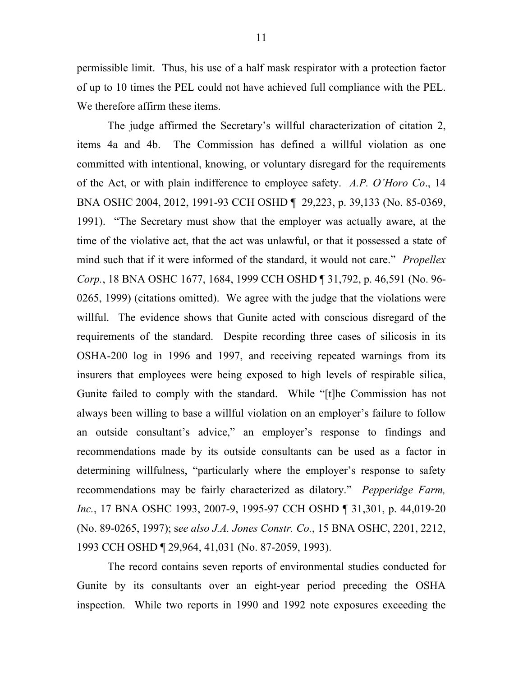permissible limit. Thus, his use of a half mask respirator with a protection factor of up to 10 times the PEL could not have achieved full compliance with the PEL. We therefore affirm these items.

The judge affirmed the Secretary's willful characterization of citation 2, items 4a and 4b. The Commission has defined a willful violation as one committed with intentional, knowing, or voluntary disregard for the requirements of the Act, or with plain indifference to employee safety. *A.P. O'Horo Co*., 14 BNA OSHC 2004, 2012, 1991-93 CCH OSHD ¶ 29,223, p. 39,133 (No. 85-0369, 1991). "The Secretary must show that the employer was actually aware, at the time of the violative act, that the act was unlawful, or that it possessed a state of mind such that if it were informed of the standard, it would not care." *Propellex Corp.*, 18 BNA OSHC 1677, 1684, 1999 CCH OSHD ¶ 31,792, p. 46,591 (No. 96- 0265, 1999) (citations omitted). We agree with the judge that the violations were willful. The evidence shows that Gunite acted with conscious disregard of the requirements of the standard. Despite recording three cases of silicosis in its OSHA-200 log in 1996 and 1997, and receiving repeated warnings from its insurers that employees were being exposed to high levels of respirable silica, Gunite failed to comply with the standard. While "[t]he Commission has not always been willing to base a willful violation on an employer's failure to follow an outside consultant's advice," an employer's response to findings and recommendations made by its outside consultants can be used as a factor in determining willfulness, "particularly where the employer's response to safety recommendations may be fairly characterized as dilatory." *Pepperidge Farm, Inc.*, 17 BNA OSHC 1993, 2007-9, 1995-97 CCH OSHD ¶ 31,301, p. 44,019-20 (No. 89-0265, 1997); s*ee also J.A. Jones Constr. Co.*, 15 BNA OSHC, 2201, 2212, 1993 CCH OSHD ¶ 29,964, 41,031 (No. 87-2059, 1993).

The record contains seven reports of environmental studies conducted for Gunite by its consultants over an eight-year period preceding the OSHA inspection. While two reports in 1990 and 1992 note exposures exceeding the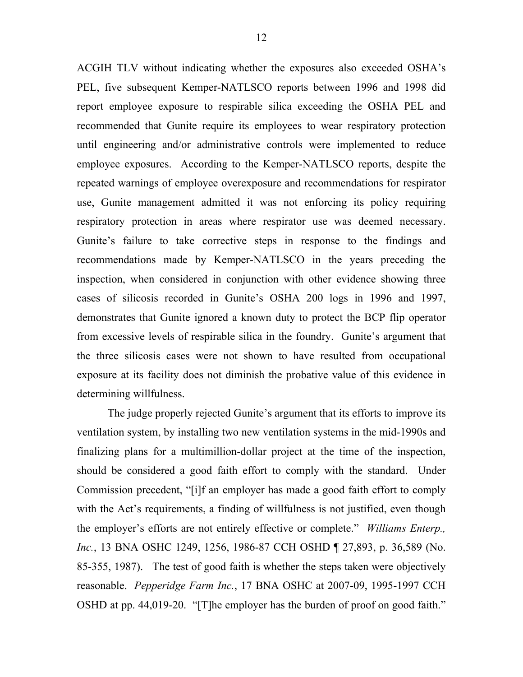ACGIH TLV without indicating whether the exposures also exceeded OSHA's PEL, five subsequent Kemper-NATLSCO reports between 1996 and 1998 did report employee exposure to respirable silica exceeding the OSHA PEL and recommended that Gunite require its employees to wear respiratory protection until engineering and/or administrative controls were implemented to reduce employee exposures. According to the Kemper-NATLSCO reports, despite the repeated warnings of employee overexposure and recommendations for respirator use, Gunite management admitted it was not enforcing its policy requiring respiratory protection in areas where respirator use was deemed necessary. Gunite's failure to take corrective steps in response to the findings and recommendations made by Kemper-NATLSCO in the years preceding the inspection, when considered in conjunction with other evidence showing three cases of silicosis recorded in Gunite's OSHA 200 logs in 1996 and 1997, demonstrates that Gunite ignored a known duty to protect the BCP flip operator from excessive levels of respirable silica in the foundry. Gunite's argument that the three silicosis cases were not shown to have resulted from occupational exposure at its facility does not diminish the probative value of this evidence in determining willfulness.

The judge properly rejected Gunite's argument that its efforts to improve its ventilation system, by installing two new ventilation systems in the mid-1990s and finalizing plans for a multimillion-dollar project at the time of the inspection, should be considered a good faith effort to comply with the standard. Under Commission precedent, "[i]f an employer has made a good faith effort to comply with the Act's requirements, a finding of willfulness is not justified, even though the employer's efforts are not entirely effective or complete." *Williams Enterp., Inc.*, 13 BNA OSHC 1249, 1256, 1986-87 CCH OSHD ¶ 27,893, p. 36,589 (No. 85-355, 1987). The test of good faith is whether the steps taken were objectively reasonable. *Pepperidge Farm Inc.*, 17 BNA OSHC at 2007-09, 1995-1997 CCH OSHD at pp. 44,019-20. "[T]he employer has the burden of proof on good faith."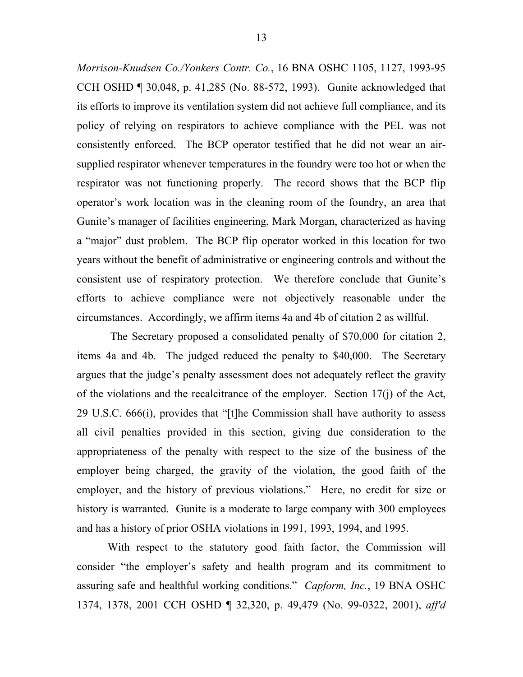*Morrison-Knudsen Co./Yonkers Contr. Co.*, 16 BNA OSHC 1105, 1127, 1993-95 CCH OSHD ¶ 30,048, p. 41,285 (No. 88-572, 1993). Gunite acknowledged that its efforts to improve its ventilation system did not achieve full compliance, and its policy of relying on respirators to achieve compliance with the PEL was not consistently enforced. The BCP operator testified that he did not wear an airsupplied respirator whenever temperatures in the foundry were too hot or when the respirator was not functioning properly. The record shows that the BCP flip operator's work location was in the cleaning room of the foundry, an area that Gunite's manager of facilities engineering, Mark Morgan, characterized as having a "major" dust problem. The BCP flip operator worked in this location for two years without the benefit of administrative or engineering controls and without the consistent use of respiratory protection. We therefore conclude that Gunite's efforts to achieve compliance were not objectively reasonable under the circumstances. Accordingly, we affirm items 4a and 4b of citation 2 as willful.

The Secretary proposed a consolidated penalty of \$70,000 for citation 2, items 4a and 4b. The judged reduced the penalty to \$40,000. The Secretary argues that the judge's penalty assessment does not adequately reflect the gravity of the violations and the recalcitrance of the employer. Section 17(j) of the Act, 29 U.S.C. 666(i), provides that "[t]he Commission shall have authority to assess all civil penalties provided in this section, giving due consideration to the appropriateness of the penalty with respect to the size of the business of the employer being charged, the gravity of the violation, the good faith of the employer, and the history of previous violations." Here, no credit for size or history is warranted. Gunite is a moderate to large company with 300 employees and has a history of prior OSHA violations in 1991, 1993, 1994, and 1995.

With respect to the statutory good faith factor, the Commission will consider "the employer's safety and health program and its commitment to assuring safe and healthful working conditions." *Capform, Inc.*, 19 BNA OSHC 1374, 1378, 2001 CCH OSHD ¶ 32,320, p. 49,479 (No. 99-0322, 2001), *aff'd*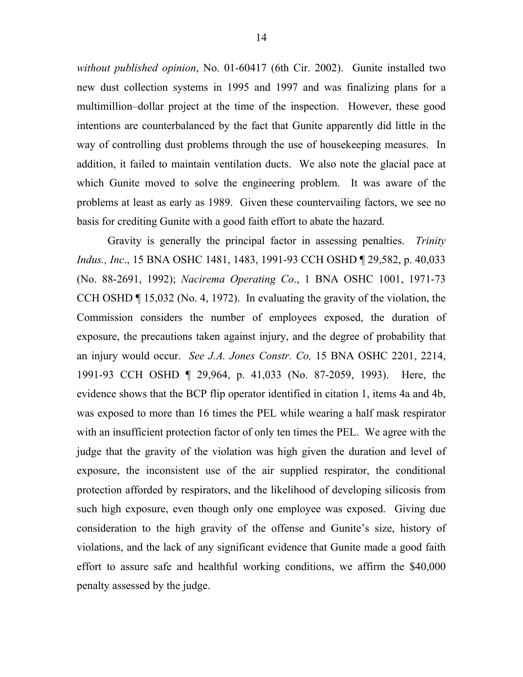*without published opinion*, No. 01-60417 (6th Cir. 2002). Gunite installed two new dust collection systems in 1995 and 1997 and was finalizing plans for a multimillion–dollar project at the time of the inspection. However, these good intentions are counterbalanced by the fact that Gunite apparently did little in the way of controlling dust problems through the use of housekeeping measures. In addition, it failed to maintain ventilation ducts. We also note the glacial pace at which Gunite moved to solve the engineering problem. It was aware of the problems at least as early as 1989. Given these countervailing factors, we see no basis for crediting Gunite with a good faith effort to abate the hazard.

Gravity is generally the principal factor in assessing penalties. *Trinity Indus., Inc*., 15 BNA OSHC 1481, 1483, 1991-93 CCH OSHD ¶ 29,582, p. 40,033 (No. 88-2691, 1992); *Nacirema Operating Co*., 1 BNA OSHC 1001, 1971-73 CCH OSHD ¶ 15,032 (No. 4, 1972). In evaluating the gravity of the violation, the Commission considers the number of employees exposed, the duration of exposure, the precautions taken against injury, and the degree of probability that an injury would occur. *See J.A. Jones Constr. Co,* 15 BNA OSHC 2201, 2214, 1991-93 CCH OSHD ¶ 29,964, p. 41,033 (No. 87-2059, 1993). Here, the evidence shows that the BCP flip operator identified in citation 1, items 4a and 4b, was exposed to more than 16 times the PEL while wearing a half mask respirator with an insufficient protection factor of only ten times the PEL. We agree with the judge that the gravity of the violation was high given the duration and level of exposure, the inconsistent use of the air supplied respirator, the conditional protection afforded by respirators, and the likelihood of developing silicosis from such high exposure, even though only one employee was exposed. Giving due consideration to the high gravity of the offense and Gunite's size, history of violations, and the lack of any significant evidence that Gunite made a good faith effort to assure safe and healthful working conditions, we affirm the \$40,000 penalty assessed by the judge.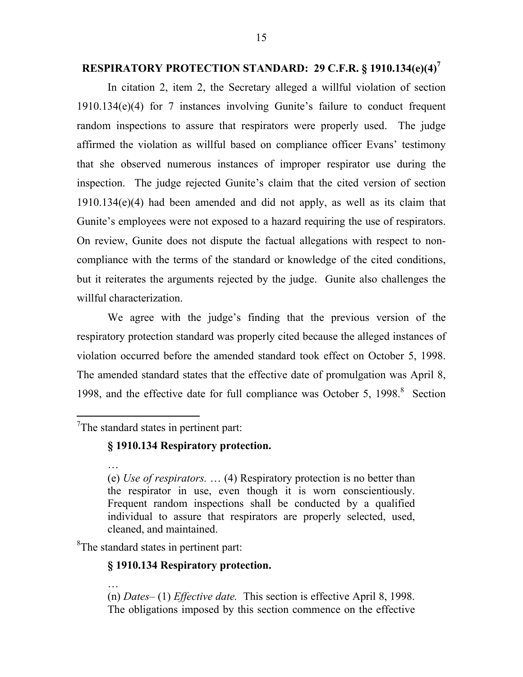# **RESPIRATORY PROTECTION STANDARD: 29 C.F.R. § 1910.134(e)(4)[7](#page-14-0)**

In citation 2, item 2, the Secretary alleged a willful violation of section 1910.134(e)(4) for 7 instances involving Gunite's failure to conduct frequent random inspections to assure that respirators were properly used. The judge affirmed the violation as willful based on compliance officer Evans' testimony that she observed numerous instances of improper respirator use during the inspection. The judge rejected Gunite's claim that the cited version of section 1910.134(e)(4) had been amended and did not apply, as well as its claim that Gunite's employees were not exposed to a hazard requiring the use of respirators. On review, Gunite does not dispute the factual allegations with respect to noncompliance with the terms of the standard or knowledge of the cited conditions, but it reiterates the arguments rejected by the judge. Gunite also challenges the willful characterization.

We agree with the judge's finding that the previous version of the respiratory protection standard was properly cited because the alleged instances of violation occurred before the amended standard took effect on October 5, 1998. The amended standard states that the effective date of promulgation was April 8, 199[8](#page-14-1), and the effective date for full compliance was October 5,  $1998$ .<sup>8</sup> Section

<span id="page-14-0"></span> $7$ The standard states in pertinent part:

# **§ 1910.134 Respiratory protection.**

…

…

(e) *Use of respirators.* … (4) Respiratory protection is no better than the respirator in use, even though it is worn conscientiously. Frequent random inspections shall be conducted by a qualified individual to assure that respirators are properly selected, used, cleaned, and maintained.

<span id="page-14-1"></span><sup>8</sup>The standard states in pertinent part:

# **§ 1910.134 Respiratory protection.**

(n) *Dates–* (1) *Effective date.* This section is effective April 8, 1998. The obligations imposed by this section commence on the effective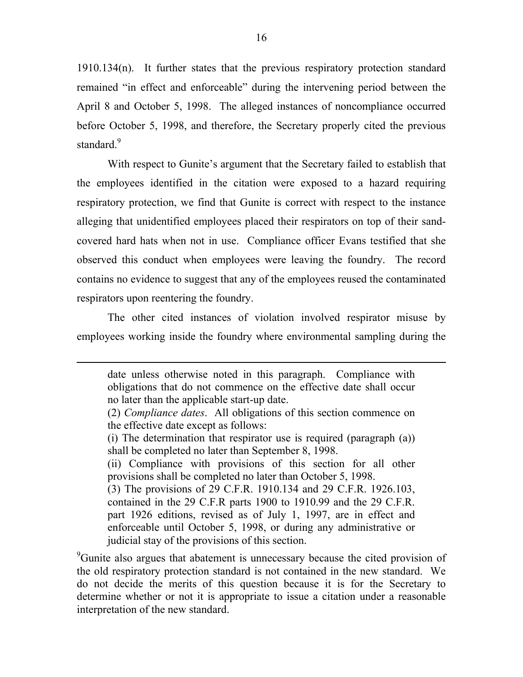1910.134(n). It further states that the previous respiratory protection standard remained "in effect and enforceable" during the intervening period between the April 8 and October 5, 1998. The alleged instances of noncompliance occurred before October 5, 1998, and therefore, the Secretary properly cited the previous standard.<sup>9</sup>

With respect to Gunite's argument that the Secretary failed to establish that the employees identified in the citation were exposed to a hazard requiring respiratory protection, we find that Gunite is correct with respect to the instance alleging that unidentified employees placed their respirators on top of their sandcovered hard hats when not in use. Compliance officer Evans testified that she observed this conduct when employees were leaving the foundry. The record contains no evidence to suggest that any of the employees reused the contaminated respirators upon reentering the foundry.

The other cited instances of violation involved respirator misuse by employees working inside the foundry where environmental sampling during the

(3) The provisions of 29 C.F.R. 1910.134 and 29 C.F.R. 1926.103, contained in the 29 C.F.R parts 1900 to 1910.99 and the 29 C.F.R. part 1926 editions, revised as of July 1, 1997, are in effect and enforceable until October 5, 1998, or during any administrative or judicial stay of the provisions of this section.

<span id="page-15-0"></span><sup>9</sup>Gunite also argues that abatement is unnecessary because the cited provision of the old respiratory protection standard is not contained in the new standard. We do not decide the merits of this question because it is for the Secretary to determine whether or not it is appropriate to issue a citation under a reasonable interpretation of the new standard.

date unless otherwise noted in this paragraph. Compliance with obligations that do not commence on the effective date shall occur no later than the applicable start-up date.

<sup>(2)</sup> *Compliance dates*. All obligations of this section commence on the effective date except as follows:

<sup>(</sup>i) The determination that respirator use is required (paragraph (a)) shall be completed no later than September 8, 1998.

<sup>(</sup>ii) Compliance with provisions of this section for all other provisions shall be completed no later than October 5, 1998.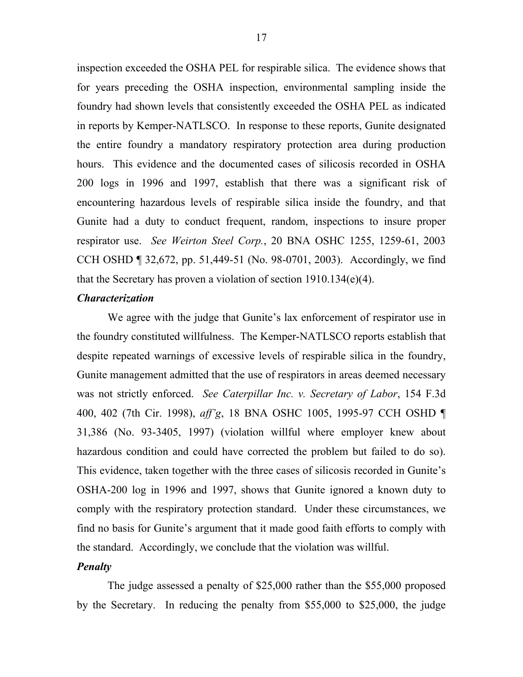inspection exceeded the OSHA PEL for respirable silica. The evidence shows that for years preceding the OSHA inspection, environmental sampling inside the foundry had shown levels that consistently exceeded the OSHA PEL as indicated in reports by Kemper-NATLSCO. In response to these reports, Gunite designated the entire foundry a mandatory respiratory protection area during production hours. This evidence and the documented cases of silicosis recorded in OSHA 200 logs in 1996 and 1997, establish that there was a significant risk of encountering hazardous levels of respirable silica inside the foundry, and that Gunite had a duty to conduct frequent, random, inspections to insure proper respirator use. *See Weirton Steel Corp.*, 20 BNA OSHC 1255, 1259-61, 2003 CCH OSHD ¶ 32,672, pp. 51,449-51 (No. 98-0701, 2003). Accordingly, we find that the Secretary has proven a violation of section  $1910.134(e)(4)$ .

# *Characterization*

We agree with the judge that Gunite's lax enforcement of respirator use in the foundry constituted willfulness. The Kemper-NATLSCO reports establish that despite repeated warnings of excessive levels of respirable silica in the foundry, Gunite management admitted that the use of respirators in areas deemed necessary was not strictly enforced. *See Caterpillar Inc. v. Secretary of Labor*, 154 F.3d 400, 402 (7th Cir. 1998), *aff'g*, 18 BNA OSHC 1005, 1995-97 CCH OSHD ¶ 31,386 (No. 93-3405, 1997) (violation willful where employer knew about hazardous condition and could have corrected the problem but failed to do so). This evidence, taken together with the three cases of silicosis recorded in Gunite's OSHA-200 log in 1996 and 1997, shows that Gunite ignored a known duty to comply with the respiratory protection standard. Under these circumstances, we find no basis for Gunite's argument that it made good faith efforts to comply with the standard. Accordingly, we conclude that the violation was willful.

## *Penalty*

The judge assessed a penalty of \$25,000 rather than the \$55,000 proposed by the Secretary. In reducing the penalty from \$55,000 to \$25,000, the judge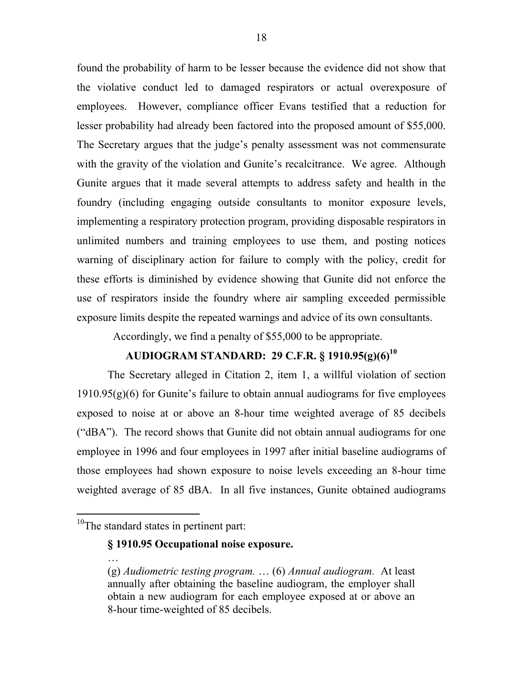found the probability of harm to be lesser because the evidence did not show that the violative conduct led to damaged respirators or actual overexposure of employees. However, compliance officer Evans testified that a reduction for lesser probability had already been factored into the proposed amount of \$55,000. The Secretary argues that the judge's penalty assessment was not commensurate with the gravity of the violation and Gunite's recalcitrance. We agree. Although Gunite argues that it made several attempts to address safety and health in the foundry (including engaging outside consultants to monitor exposure levels, implementing a respiratory protection program, providing disposable respirators in unlimited numbers and training employees to use them, and posting notices warning of disciplinary action for failure to comply with the policy, credit for these efforts is diminished by evidence showing that Gunite did not enforce the use of respirators inside the foundry where air sampling exceeded permissible exposure limits despite the repeated warnings and advice of its own consultants.

Accordingly, we find a penalty of \$55,000 to be appropriate.

# **AUDIOGRAM STANDARD: 29 C.F.R. § 1910.95(g)(6[\)10](#page-17-0)**

The Secretary alleged in Citation 2, item 1, a willful violation of section 1910.95(g)(6) for Gunite's failure to obtain annual audiograms for five employees exposed to noise at or above an 8-hour time weighted average of 85 decibels ("dBA"). The record shows that Gunite did not obtain annual audiograms for one employee in 1996 and four employees in 1997 after initial baseline audiograms of those employees had shown exposure to noise levels exceeding an 8-hour time weighted average of 85 dBA. In all five instances, Gunite obtained audiograms

…

# **§ 1910.95 Occupational noise exposure.**

<span id="page-17-0"></span> $10$ The standard states in pertinent part:

<sup>(</sup>g) *Audiometric testing program.* … (6) *Annual audiogram.* At least annually after obtaining the baseline audiogram, the employer shall obtain a new audiogram for each employee exposed at or above an 8-hour time-weighted of 85 decibels.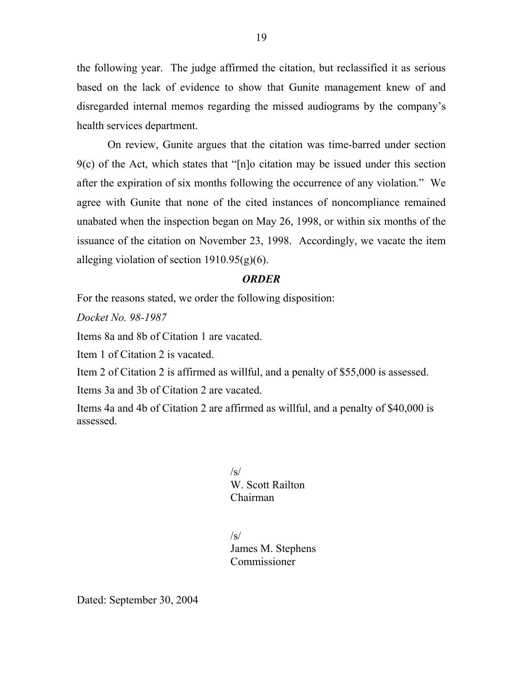the following year. The judge affirmed the citation, but reclassified it as serious based on the lack of evidence to show that Gunite management knew of and disregarded internal memos regarding the missed audiograms by the company's health services department.

On review, Gunite argues that the citation was time-barred under section 9(c) of the Act, which states that "[n]o citation may be issued under this section after the expiration of six months following the occurrence of any violation." We agree with Gunite that none of the cited instances of noncompliance remained unabated when the inspection began on May 26, 1998, or within six months of the issuance of the citation on November 23, 1998. Accordingly, we vacate the item alleging violation of section 1910.95(g)(6).

### *ORDER*

For the reasons stated, we order the following disposition:

*Docket No. 98-1987* 

Items 8a and 8b of Citation 1 are vacated.

Item 1 of Citation 2 is vacated.

Item 2 of Citation 2 is affirmed as willful, and a penalty of \$55,000 is assessed.

Items 3a and 3b of Citation 2 are vacated.

Items 4a and 4b of Citation 2 are affirmed as willful, and a penalty of \$40,000 is assessed.

> $\sqrt{s}$ W. Scott Railton Chairman

 $\sqrt{s}$ James M. Stephens Commissioner

Dated: September 30, 2004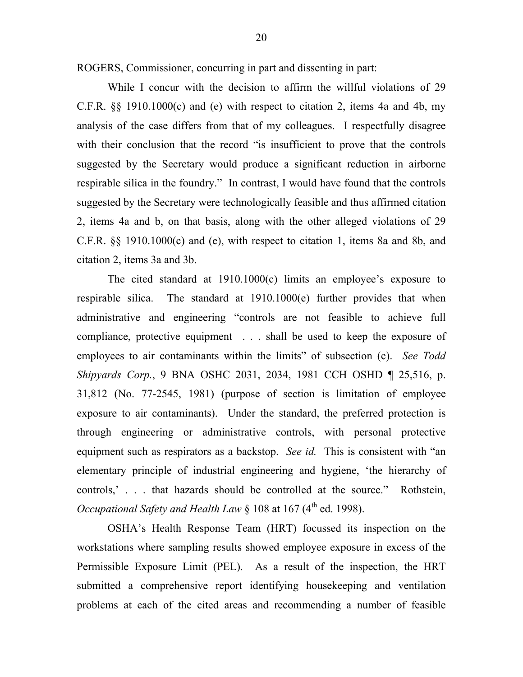ROGERS, Commissioner, concurring in part and dissenting in part:

While I concur with the decision to affirm the willful violations of 29 C.F.R. §§ 1910.1000(c) and (e) with respect to citation 2, items 4a and 4b, my analysis of the case differs from that of my colleagues. I respectfully disagree with their conclusion that the record "is insufficient to prove that the controls suggested by the Secretary would produce a significant reduction in airborne respirable silica in the foundry." In contrast, I would have found that the controls suggested by the Secretary were technologically feasible and thus affirmed citation 2, items 4a and b, on that basis, along with the other alleged violations of 29 C.F.R. §§ 1910.1000(c) and (e), with respect to citation 1, items 8a and 8b, and citation 2, items 3a and 3b.

The cited standard at 1910.1000(c) limits an employee's exposure to respirable silica. The standard at 1910.1000(e) further provides that when administrative and engineering "controls are not feasible to achieve full compliance, protective equipment . . . shall be used to keep the exposure of employees to air contaminants within the limits" of subsection (c). *See Todd Shipyards Corp.*, 9 BNA OSHC 2031, 2034, 1981 CCH OSHD ¶ 25,516, p. 31,812 (No. 77-2545, 1981) (purpose of section is limitation of employee exposure to air contaminants). Under the standard, the preferred protection is through engineering or administrative controls, with personal protective equipment such as respirators as a backstop. *See id.* This is consistent with "an elementary principle of industrial engineering and hygiene, 'the hierarchy of controls,' . . . that hazards should be controlled at the source." Rothstein, *Occupational Safety and Health Law* § 108 at 167 (4<sup>th</sup> ed. 1998).

OSHA's Health Response Team (HRT) focussed its inspection on the workstations where sampling results showed employee exposure in excess of the Permissible Exposure Limit (PEL). As a result of the inspection, the HRT submitted a comprehensive report identifying housekeeping and ventilation problems at each of the cited areas and recommending a number of feasible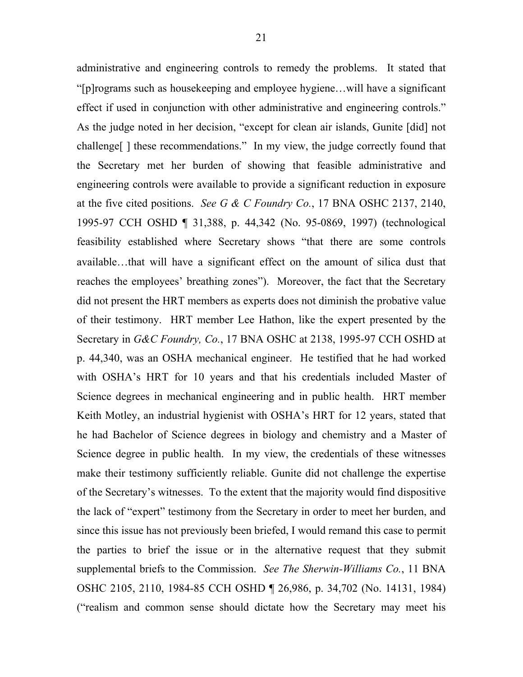administrative and engineering controls to remedy the problems. It stated that "[p]rograms such as housekeeping and employee hygiene…will have a significant effect if used in conjunction with other administrative and engineering controls." As the judge noted in her decision, "except for clean air islands, Gunite [did] not challenge[ ] these recommendations." In my view, the judge correctly found that the Secretary met her burden of showing that feasible administrative and engineering controls were available to provide a significant reduction in exposure at the five cited positions. *See G & C Foundry Co.*, 17 BNA OSHC 2137, 2140, 1995-97 CCH OSHD ¶ 31,388, p. 44,342 (No. 95-0869, 1997) (technological feasibility established where Secretary shows "that there are some controls available…that will have a significant effect on the amount of silica dust that reaches the employees' breathing zones"). Moreover, the fact that the Secretary did not present the HRT members as experts does not diminish the probative value of their testimony. HRT member Lee Hathon, like the expert presented by the Secretary in *G&C Foundry, Co.*, 17 BNA OSHC at 2138, 1995-97 CCH OSHD at p. 44,340, was an OSHA mechanical engineer. He testified that he had worked with OSHA's HRT for 10 years and that his credentials included Master of Science degrees in mechanical engineering and in public health. HRT member Keith Motley, an industrial hygienist with OSHA's HRT for 12 years, stated that he had Bachelor of Science degrees in biology and chemistry and a Master of Science degree in public health. In my view, the credentials of these witnesses make their testimony sufficiently reliable. Gunite did not challenge the expertise of the Secretary's witnesses. To the extent that the majority would find dispositive the lack of "expert" testimony from the Secretary in order to meet her burden, and since this issue has not previously been briefed, I would remand this case to permit the parties to brief the issue or in the alternative request that they submit supplemental briefs to the Commission. *See The Sherwin-Williams Co.*, 11 BNA OSHC 2105, 2110, 1984-85 CCH OSHD ¶ 26,986, p. 34,702 (No. 14131, 1984) ("realism and common sense should dictate how the Secretary may meet his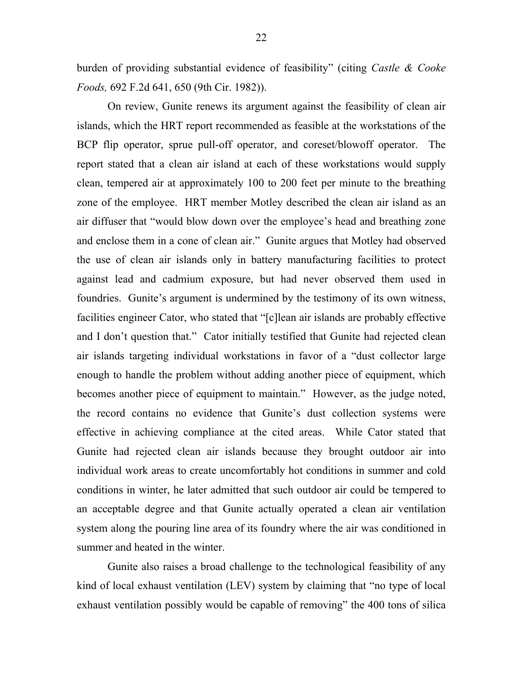burden of providing substantial evidence of feasibility" (citing *Castle & Cooke Foods,* 692 F.2d 641, 650 (9th Cir. 1982)).

On review, Gunite renews its argument against the feasibility of clean air islands, which the HRT report recommended as feasible at the workstations of the BCP flip operator, sprue pull-off operator, and coreset/blowoff operator. The report stated that a clean air island at each of these workstations would supply clean, tempered air at approximately 100 to 200 feet per minute to the breathing zone of the employee. HRT member Motley described the clean air island as an air diffuser that "would blow down over the employee's head and breathing zone and enclose them in a cone of clean air." Gunite argues that Motley had observed the use of clean air islands only in battery manufacturing facilities to protect against lead and cadmium exposure, but had never observed them used in foundries. Gunite's argument is undermined by the testimony of its own witness, facilities engineer Cator, who stated that "[c]lean air islands are probably effective and I don't question that." Cator initially testified that Gunite had rejected clean air islands targeting individual workstations in favor of a "dust collector large enough to handle the problem without adding another piece of equipment, which becomes another piece of equipment to maintain." However, as the judge noted, the record contains no evidence that Gunite's dust collection systems were effective in achieving compliance at the cited areas. While Cator stated that Gunite had rejected clean air islands because they brought outdoor air into individual work areas to create uncomfortably hot conditions in summer and cold conditions in winter, he later admitted that such outdoor air could be tempered to an acceptable degree and that Gunite actually operated a clean air ventilation system along the pouring line area of its foundry where the air was conditioned in summer and heated in the winter.

Gunite also raises a broad challenge to the technological feasibility of any kind of local exhaust ventilation (LEV) system by claiming that "no type of local exhaust ventilation possibly would be capable of removing" the 400 tons of silica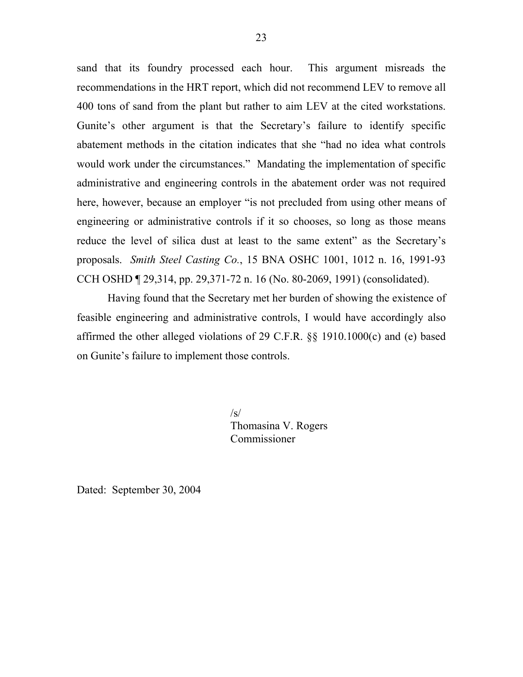sand that its foundry processed each hour. This argument misreads the recommendations in the HRT report, which did not recommend LEV to remove all 400 tons of sand from the plant but rather to aim LEV at the cited workstations. Gunite's other argument is that the Secretary's failure to identify specific abatement methods in the citation indicates that she "had no idea what controls would work under the circumstances." Mandating the implementation of specific administrative and engineering controls in the abatement order was not required here, however, because an employer "is not precluded from using other means of engineering or administrative controls if it so chooses, so long as those means reduce the level of silica dust at least to the same extent" as the Secretary's proposals. *Smith Steel Casting Co.*, 15 BNA OSHC 1001, 1012 n. 16, 1991-93 CCH OSHD ¶ 29,314, pp. 29,371-72 n. 16 (No. 80-2069, 1991) (consolidated).

Having found that the Secretary met her burden of showing the existence of feasible engineering and administrative controls, I would have accordingly also affirmed the other alleged violations of 29 C.F.R. §§ 1910.1000(c) and (e) based on Gunite's failure to implement those controls.

> $\sqrt{s}$ Thomasina V. Rogers Commissioner

Dated: September 30, 2004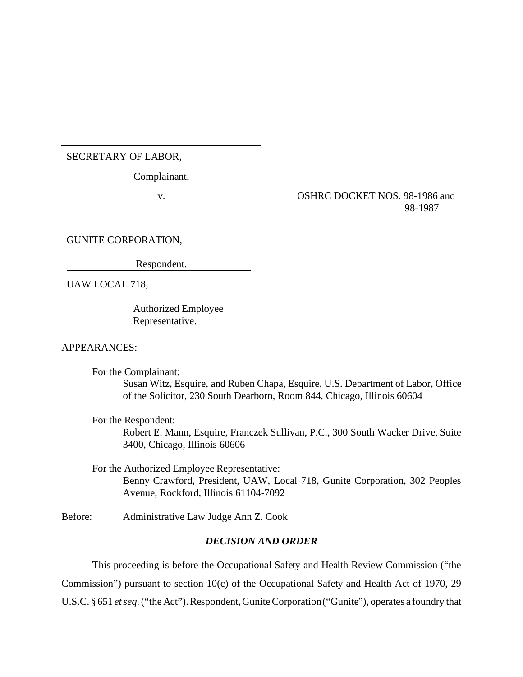# SECRETARY OF LABOR,

Complainant,

v.

GUNITE CORPORATION,

Respondent.

UAW LOCAL 718,

Authorized Employee Representative.

### APPEARANCES:

For the Complainant:

Susan Witz, Esquire, and Ruben Chapa, Esquire, U.S. Department of Labor, Office of the Solicitor, 230 South Dearborn, Room 844, Chicago, Illinois 60604

For the Respondent:

Robert E. Mann, Esquire, Franczek Sullivan, P.C., 300 South Wacker Drive, Suite 3400, Chicago, Illinois 60606

For the Authorized Employee Representative: Benny Crawford, President, UAW, Local 718, Gunite Corporation, 302 Peoples Avenue, Rockford, Illinois 61104-7092

Before: Administrative Law Judge Ann Z. Cook

# *DECISION AND ORDER*

This proceeding is before the Occupational Safety and Health Review Commission ("the Commission") pursuant to section 10(c) of the Occupational Safety and Health Act of 1970, 29 U.S.C. § 651 *et seq*. ("the Act"). Respondent, Gunite Corporation ("Gunite"), operates a foundry that

OSHRC DOCKET NOS. 98-1986 and 98-1987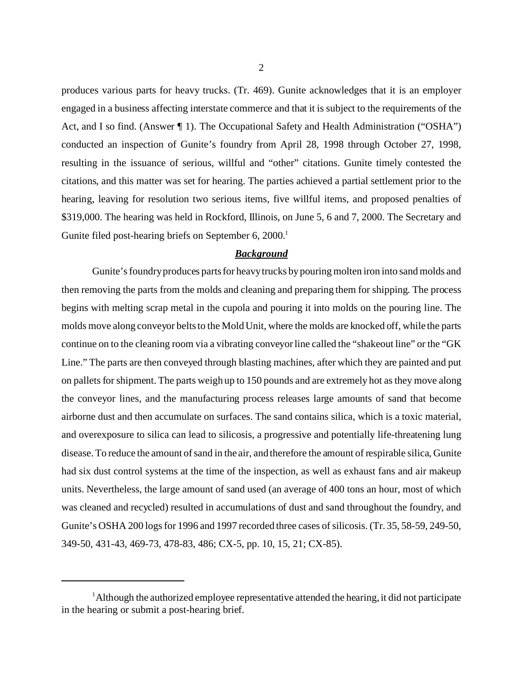produces various parts for heavy trucks. (Tr. 469). Gunite acknowledges that it is an employer engaged in a business affecting interstate commerce and that it is subject to the requirements of the Act, and I so find. (Answer  $\P$  1). The Occupational Safety and Health Administration ("OSHA") conducted an inspection of Gunite's foundry from April 28, 1998 through October 27, 1998, resulting in the issuance of serious, willful and "other" citations. Gunite timely contested the citations, and this matter was set for hearing. The parties achieved a partial settlement prior to the hearing, leaving for resolution two serious items, five willful items, and proposed penalties of \$319,000. The hearing was held in Rockford, Illinois, on June 5, 6 and 7, 2000. The Secretary and Gunite filed post-hearing briefs on September 6, 2000.<sup>1</sup>

#### *Background*

Gunite's foundry produces parts for heavy trucks by pouring molten iron into sand molds and then removing the parts from the molds and cleaning and preparing them for shipping. The process begins with melting scrap metal in the cupola and pouring it into molds on the pouring line. The molds move along conveyor belts to the Mold Unit, where the molds are knocked off, while the parts continue on to the cleaning room via a vibrating conveyor line called the "shakeout line" or the "GK Line." The parts are then conveyed through blasting machines, after which they are painted and put on pallets for shipment. The parts weigh up to 150 pounds and are extremely hot as they move along the conveyor lines, and the manufacturing process releases large amounts of sand that become airborne dust and then accumulate on surfaces. The sand contains silica, which is a toxic material, and overexposure to silica can lead to silicosis, a progressive and potentially life-threatening lung disease. To reduce the amount of sand in the air, and therefore the amount of respirable silica, Gunite had six dust control systems at the time of the inspection, as well as exhaust fans and air makeup units. Nevertheless, the large amount of sand used (an average of 400 tons an hour, most of which was cleaned and recycled) resulted in accumulations of dust and sand throughout the foundry, and Gunite's OSHA 200 logs for 1996 and 1997 recorded three cases of silicosis. (Tr. 35, 58-59, 249-50, 349-50, 431-43, 469-73, 478-83, 486; CX-5, pp. 10, 15, 21; CX-85).

 $<sup>1</sup>$ Although the authorized employee representative attended the hearing, it did not participate</sup> in the hearing or submit a post-hearing brief.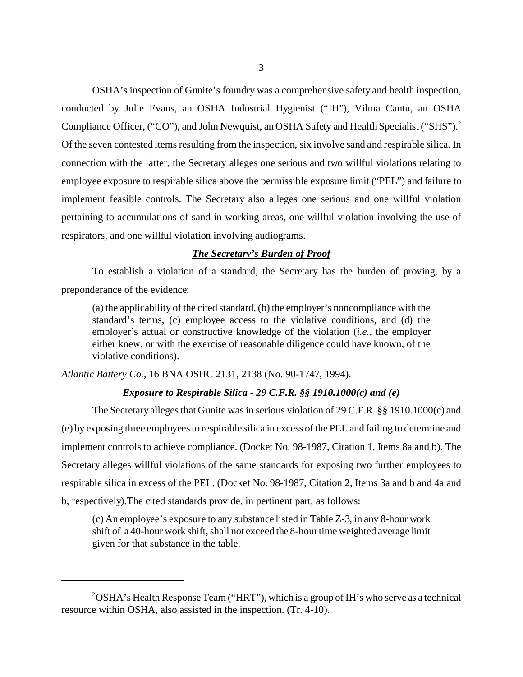OSHA's inspection of Gunite's foundry was a comprehensive safety and health inspection, conducted by Julie Evans, an OSHA Industrial Hygienist ("IH"), Vilma Cantu, an OSHA Compliance Officer, ("CO"), and John Newquist, an OSHA Safety and Health Specialist ("SHS").<sup>2</sup> Of the seven contested items resulting from the inspection, six involve sand and respirable silica. In connection with the latter, the Secretary alleges one serious and two willful violations relating to employee exposure to respirable silica above the permissible exposure limit ("PEL") and failure to implement feasible controls. The Secretary also alleges one serious and one willful violation pertaining to accumulations of sand in working areas, one willful violation involving the use of respirators, and one willful violation involving audiograms.

#### *The Secretary's Burden of Proof*

To establish a violation of a standard, the Secretary has the burden of proving, by a preponderance of the evidence:

(a) the applicability of the cited standard, (b) the employer's noncompliance with the standard's terms, (c) employee access to the violative conditions, and (d) the employer's actual or constructive knowledge of the violation (*i.e.*, the employer either knew, or with the exercise of reasonable diligence could have known, of the violative conditions).

*Atlantic Battery Co.,* 16 BNA OSHC 2131, 2138 (No. 90-1747, 1994).

#### *Exposure to Respirable Silica - 29 C.F.R. §§ 1910.1000(c) and (e)*

The Secretary alleges that Gunite was in serious violation of 29 C.F.R. §§ 1910.1000(c) and (e) by exposing three employees to respirable silica in excess of the PEL and failing to determine and implement controls to achieve compliance. (Docket No. 98-1987, Citation 1, Items 8a and b). The Secretary alleges willful violations of the same standards for exposing two further employees to respirable silica in excess of the PEL. (Docket No. 98-1987, Citation 2, Items 3a and b and 4a and b, respectively).The cited standards provide, in pertinent part, as follows:

(c) An employee's exposure to any substance listed in Table Z-3, in any 8-hour work shift of a 40-hour work shift, shall not exceed the 8-hour time weighted average limit given for that substance in the table.

 $2$ OSHA's Health Response Team ("HRT"), which is a group of IH's who serve as a technical resource within OSHA, also assisted in the inspection. (Tr. 4-10).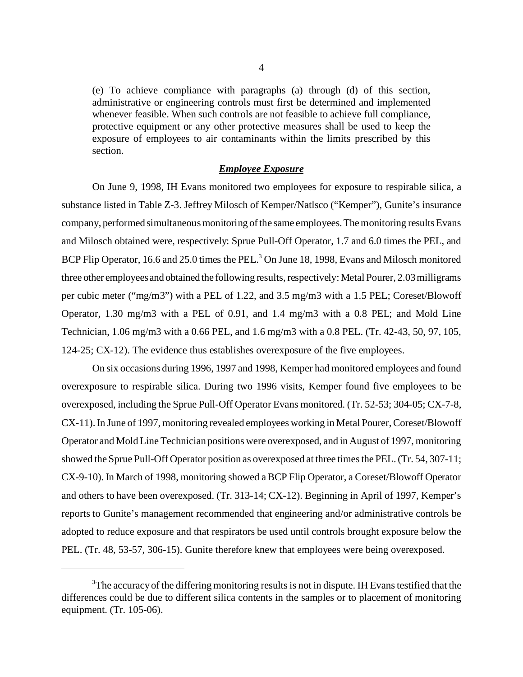(e) To achieve compliance with paragraphs (a) through (d) of this section, administrative or engineering controls must first be determined and implemented whenever feasible. When such controls are not feasible to achieve full compliance, protective equipment or any other protective measures shall be used to keep the exposure of employees to air contaminants within the limits prescribed by this section.

### *Employee Exposure*

On June 9, 1998, IH Evans monitored two employees for exposure to respirable silica, a substance listed in Table Z-3. Jeffrey Milosch of Kemper/Natlsco ("Kemper"), Gunite's insurance company, performed simultaneous monitoring of the same employees. The monitoring results Evans and Milosch obtained were, respectively: Sprue Pull-Off Operator, 1.7 and 6.0 times the PEL, and BCP Flip Operator, 16.6 and 25.0 times the PEL.<sup>3</sup> On June 18, 1998, Evans and Milosch monitored three other employees and obtained the following results, respectively: Metal Pourer, 2.03 milligrams per cubic meter ("mg/m3") with a PEL of 1.22, and 3.5 mg/m3 with a 1.5 PEL; Coreset/Blowoff Operator, 1.30 mg/m3 with a PEL of 0.91, and 1.4 mg/m3 with a 0.8 PEL; and Mold Line Technician, 1.06 mg/m3 with a 0.66 PEL, and 1.6 mg/m3 with a 0.8 PEL. (Tr. 42-43, 50, 97, 105, 124-25; CX-12). The evidence thus establishes overexposure of the five employees.

On six occasions during 1996, 1997 and 1998, Kemper had monitored employees and found overexposure to respirable silica. During two 1996 visits, Kemper found five employees to be overexposed, including the Sprue Pull-Off Operator Evans monitored. (Tr. 52-53; 304-05; CX-7-8, CX-11). In June of 1997, monitoring revealed employees working in Metal Pourer, Coreset/Blowoff Operator and Mold Line Technician positions were overexposed, and in August of 1997, monitoring showed the Sprue Pull-Off Operator position as overexposed at three times the PEL. (Tr. 54, 307-11; CX-9-10). In March of 1998, monitoring showed a BCP Flip Operator, a Coreset/Blowoff Operator and others to have been overexposed. (Tr. 313-14; CX-12). Beginning in April of 1997, Kemper's reports to Gunite's management recommended that engineering and/or administrative controls be adopted to reduce exposure and that respirators be used until controls brought exposure below the PEL. (Tr. 48, 53-57, 306-15). Gunite therefore knew that employees were being overexposed.

 $3$ The accuracy of the differing monitoring results is not in dispute. IH Evans testified that the differences could be due to different silica contents in the samples or to placement of monitoring equipment. (Tr. 105-06).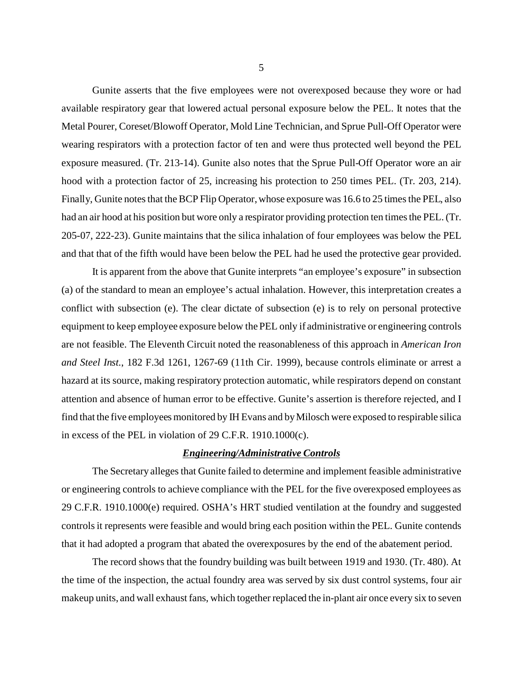Gunite asserts that the five employees were not overexposed because they wore or had available respiratory gear that lowered actual personal exposure below the PEL. It notes that the Metal Pourer, Coreset/Blowoff Operator, Mold Line Technician, and Sprue Pull-Off Operator were wearing respirators with a protection factor of ten and were thus protected well beyond the PEL exposure measured. (Tr. 213-14). Gunite also notes that the Sprue Pull-Off Operator wore an air hood with a protection factor of 25, increasing his protection to 250 times PEL. (Tr. 203, 214). Finally, Gunite notes that the BCP Flip Operator, whose exposure was 16.6 to 25 times the PEL, also had an air hood at his position but wore only a respirator providing protection ten times the PEL. (Tr. 205-07, 222-23). Gunite maintains that the silica inhalation of four employees was below the PEL and that that of the fifth would have been below the PEL had he used the protective gear provided.

It is apparent from the above that Gunite interprets "an employee's exposure" in subsection (a) of the standard to mean an employee's actual inhalation. However, this interpretation creates a conflict with subsection (e). The clear dictate of subsection (e) is to rely on personal protective equipment to keep employee exposure below the PEL only if administrative or engineering controls are not feasible. The Eleventh Circuit noted the reasonableness of this approach in *American Iron and Steel Inst.*, 182 F.3d 1261, 1267-69 (11th Cir. 1999), because controls eliminate or arrest a hazard at its source, making respiratory protection automatic, while respirators depend on constant attention and absence of human error to be effective. Gunite's assertion is therefore rejected, and I find that the five employees monitored by IH Evans and by Milosch were exposed to respirable silica in excess of the PEL in violation of 29 C.F.R. 1910.1000(c).

#### *Engineering/Administrative Controls*

The Secretary alleges that Gunite failed to determine and implement feasible administrative or engineering controls to achieve compliance with the PEL for the five overexposed employees as 29 C.F.R. 1910.1000(e) required. OSHA's HRT studied ventilation at the foundry and suggested controls it represents were feasible and would bring each position within the PEL. Gunite contends that it had adopted a program that abated the overexposures by the end of the abatement period.

The record shows that the foundry building was built between 1919 and 1930. (Tr. 480). At the time of the inspection, the actual foundry area was served by six dust control systems, four air makeup units, and wall exhaust fans, which together replaced the in-plant air once every six to seven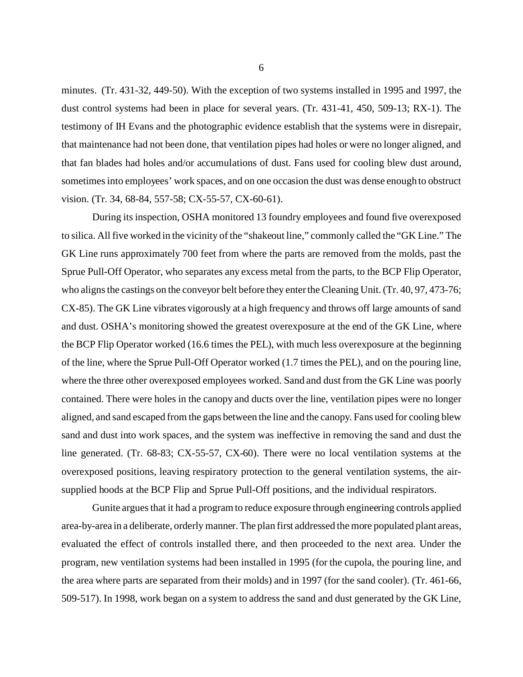minutes. (Tr. 431-32, 449-50). With the exception of two systems installed in 1995 and 1997, the dust control systems had been in place for several years. (Tr. 431-41, 450, 509-13; RX-1). The testimony of IH Evans and the photographic evidence establish that the systems were in disrepair, that maintenance had not been done, that ventilation pipes had holes or were no longer aligned, and that fan blades had holes and/or accumulations of dust. Fans used for cooling blew dust around, sometimes into employees' work spaces, and on one occasion the dust was dense enough to obstruct vision. (Tr. 34, 68-84, 557-58; CX-55-57, CX-60-61).

During its inspection, OSHA monitored 13 foundry employees and found five overexposed to silica. All five worked in the vicinity of the "shakeout line," commonly called the "GK Line." The GK Line runs approximately 700 feet from where the parts are removed from the molds, past the Sprue Pull-Off Operator, who separates any excess metal from the parts, to the BCP Flip Operator, who aligns the castings on the conveyor belt before they enter the Cleaning Unit. (Tr. 40, 97, 473-76; CX-85). The GK Line vibrates vigorously at a high frequency and throws off large amounts of sand and dust. OSHA's monitoring showed the greatest overexposure at the end of the GK Line, where the BCP Flip Operator worked (16.6 times the PEL), with much less overexposure at the beginning of the line, where the Sprue Pull-Off Operator worked (1.7 times the PEL), and on the pouring line, where the three other overexposed employees worked. Sand and dust from the GK Line was poorly contained. There were holes in the canopy and ducts over the line, ventilation pipes were no longer aligned, and sand escaped from the gaps between the line and the canopy. Fans used for cooling blew sand and dust into work spaces, and the system was ineffective in removing the sand and dust the line generated. (Tr. 68-83; CX-55-57, CX-60). There were no local ventilation systems at the overexposed positions, leaving respiratory protection to the general ventilation systems, the airsupplied hoods at the BCP Flip and Sprue Pull-Off positions, and the individual respirators.

Gunite argues that it had a program to reduce exposure through engineering controls applied area-by-area in a deliberate, orderly manner. The plan first addressed the more populated plant areas, evaluated the effect of controls installed there, and then proceeded to the next area. Under the program, new ventilation systems had been installed in 1995 (for the cupola, the pouring line, and the area where parts are separated from their molds) and in 1997 (for the sand cooler). (Tr. 461-66, 509-517). In 1998, work began on a system to address the sand and dust generated by the GK Line,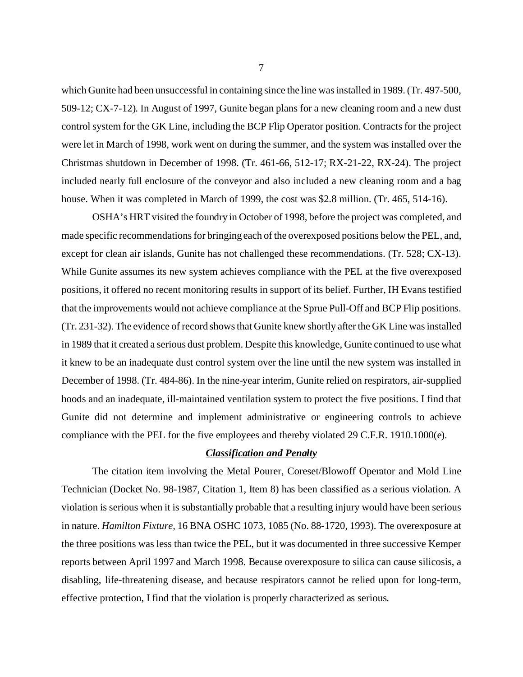which Gunite had been unsuccessful in containing since the line was installed in 1989. (Tr. 497-500, 509-12; CX-7-12). In August of 1997, Gunite began plans for a new cleaning room and a new dust control system for the GK Line, including the BCP Flip Operator position. Contracts for the project were let in March of 1998, work went on during the summer, and the system was installed over the Christmas shutdown in December of 1998. (Tr. 461-66, 512-17; RX-21-22, RX-24). The project included nearly full enclosure of the conveyor and also included a new cleaning room and a bag house. When it was completed in March of 1999, the cost was \$2.8 million. (Tr. 465, 514-16).

OSHA's HRT visited the foundry in October of 1998, before the project was completed, and made specific recommendations for bringing each of the overexposed positions below the PEL, and, except for clean air islands, Gunite has not challenged these recommendations. (Tr. 528; CX-13). While Gunite assumes its new system achieves compliance with the PEL at the five overexposed positions, it offered no recent monitoring results in support of its belief. Further, IH Evans testified that the improvements would not achieve compliance at the Sprue Pull-Off and BCP Flip positions. (Tr. 231-32). The evidence of record shows that Gunite knew shortly after the GK Line was installed in 1989 that it created a serious dust problem. Despite this knowledge, Gunite continued to use what it knew to be an inadequate dust control system over the line until the new system was installed in December of 1998. (Tr. 484-86). In the nine-year interim, Gunite relied on respirators, air-supplied hoods and an inadequate, ill-maintained ventilation system to protect the five positions. I find that Gunite did not determine and implement administrative or engineering controls to achieve compliance with the PEL for the five employees and thereby violated 29 C.F.R. 1910.1000(e).

### *Classification and Penalty*

The citation item involving the Metal Pourer, Coreset/Blowoff Operator and Mold Line Technician (Docket No. 98-1987, Citation 1, Item 8) has been classified as a serious violation. A violation is serious when it is substantially probable that a resulting injury would have been serious in nature. *Hamilton Fixture,* 16 BNA OSHC 1073, 1085 (No. 88-1720, 1993). The overexposure at the three positions was less than twice the PEL, but it was documented in three successive Kemper reports between April 1997 and March 1998. Because overexposure to silica can cause silicosis, a disabling, life-threatening disease, and because respirators cannot be relied upon for long-term, effective protection, I find that the violation is properly characterized as serious.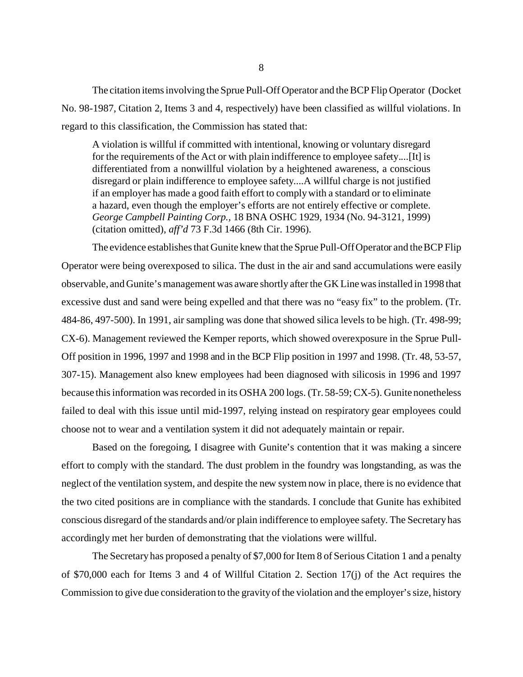The citation items involving the Sprue Pull-Off Operator and the BCP Flip Operator (Docket No. 98-1987, Citation 2, Items 3 and 4, respectively) have been classified as willful violations. In regard to this classification, the Commission has stated that:

A violation is willful if committed with intentional, knowing or voluntary disregard for the requirements of the Act or with plain indifference to employee safety....[It] is differentiated from a nonwillful violation by a heightened awareness, a conscious disregard or plain indifference to employee safety....A willful charge is not justified if an employer has made a good faith effort to comply with a standard or to eliminate a hazard, even though the employer's efforts are not entirely effective or complete. *George Campbell Painting Corp.,* 18 BNA OSHC 1929, 1934 (No. 94-3121, 1999) (citation omitted), *aff'd* 73 F.3d 1466 (8th Cir. 1996).

The evidence establishes that Gunite knew that the Sprue Pull-Off Operator and the BCP Flip Operator were being overexposed to silica. The dust in the air and sand accumulations were easily observable, and Gunite's management was aware shortly after the GK Line was installed in 1998 that excessive dust and sand were being expelled and that there was no "easy fix" to the problem. (Tr. 484-86, 497-500). In 1991, air sampling was done that showed silica levels to be high. (Tr. 498-99; CX-6). Management reviewed the Kemper reports, which showed overexposure in the Sprue Pull-Off position in 1996, 1997 and 1998 and in the BCP Flip position in 1997 and 1998. (Tr. 48, 53-57, 307-15). Management also knew employees had been diagnosed with silicosis in 1996 and 1997 because this information was recorded in its OSHA 200 logs. (Tr. 58-59; CX-5). Gunite nonetheless failed to deal with this issue until mid-1997, relying instead on respiratory gear employees could choose not to wear and a ventilation system it did not adequately maintain or repair.

Based on the foregoing, I disagree with Gunite's contention that it was making a sincere effort to comply with the standard. The dust problem in the foundry was longstanding, as was the neglect of the ventilation system, and despite the new system now in place, there is no evidence that the two cited positions are in compliance with the standards. I conclude that Gunite has exhibited conscious disregard of the standards and/or plain indifference to employee safety. The Secretary has accordingly met her burden of demonstrating that the violations were willful.

The Secretary has proposed a penalty of \$7,000 for Item 8 of Serious Citation 1 and a penalty of \$70,000 each for Items 3 and 4 of Willful Citation 2. Section 17(j) of the Act requires the Commission to give due consideration to the gravity of the violation and the employer's size, history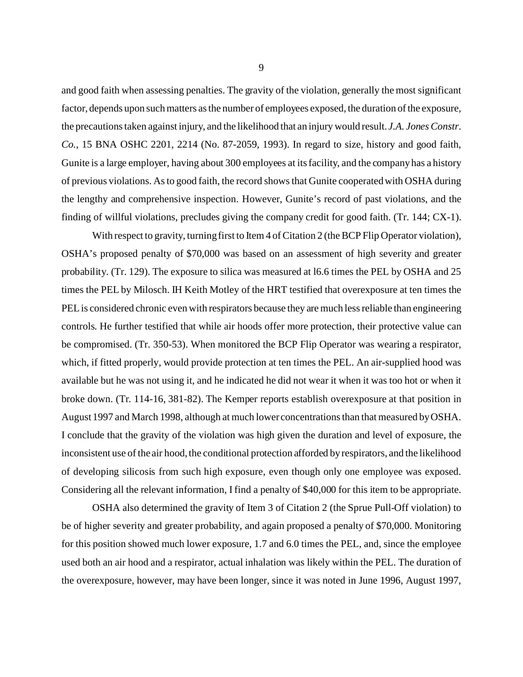and good faith when assessing penalties. The gravity of the violation, generally the most significant factor, depends upon such matters as the number of employees exposed, the duration of the exposure, the precautions taken against injury, and the likelihood that an injury would result. *J.A. Jones Constr. Co.*, 15 BNA OSHC 2201, 2214 (No. 87-2059, 1993). In regard to size, history and good faith, Gunite is a large employer, having about 300 employees at its facility, and the company has a history of previous violations. As to good faith, the record shows that Gunite cooperated with OSHA during the lengthy and comprehensive inspection. However, Gunite's record of past violations, and the finding of willful violations, precludes giving the company credit for good faith. (Tr. 144; CX-1).

With respect to gravity, turning first to Item 4 of Citation 2 (the BCP Flip Operator violation), OSHA's proposed penalty of \$70,000 was based on an assessment of high severity and greater probability. (Tr. 129). The exposure to silica was measured at l6.6 times the PEL by OSHA and 25 times the PEL by Milosch. IH Keith Motley of the HRT testified that overexposure at ten times the PEL is considered chronic even with respirators because they are much less reliable than engineering controls. He further testified that while air hoods offer more protection, their protective value can be compromised. (Tr. 350-53). When monitored the BCP Flip Operator was wearing a respirator, which, if fitted properly, would provide protection at ten times the PEL. An air-supplied hood was available but he was not using it, and he indicated he did not wear it when it was too hot or when it broke down. (Tr. 114-16, 381-82). The Kemper reports establish overexposure at that position in August 1997 and March 1998, although at much lower concentrations than that measured by OSHA. I conclude that the gravity of the violation was high given the duration and level of exposure, the inconsistent use of the air hood, the conditional protection afforded by respirators, and the likelihood of developing silicosis from such high exposure, even though only one employee was exposed. Considering all the relevant information, I find a penalty of \$40,000 for this item to be appropriate.

OSHA also determined the gravity of Item 3 of Citation 2 (the Sprue Pull-Off violation) to be of higher severity and greater probability, and again proposed a penalty of \$70,000. Monitoring for this position showed much lower exposure, 1.7 and 6.0 times the PEL, and, since the employee used both an air hood and a respirator, actual inhalation was likely within the PEL. The duration of the overexposure, however, may have been longer, since it was noted in June 1996, August 1997,

9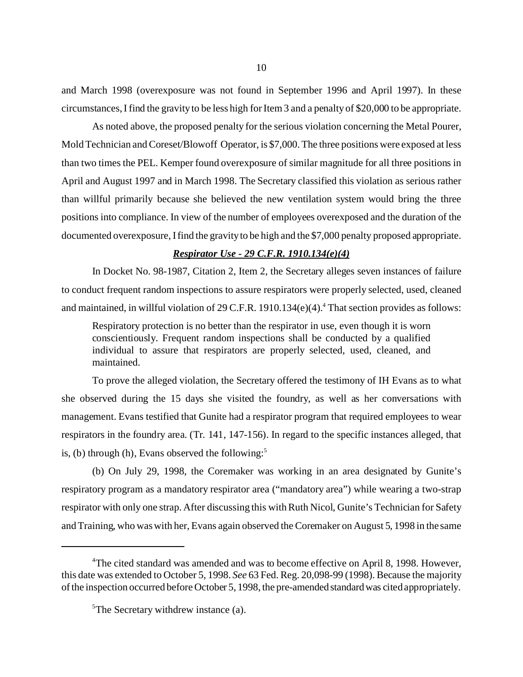and March 1998 (overexposure was not found in September 1996 and April 1997). In these circumstances, I find the gravity to be less high for Item 3 and a penalty of \$20,000 to be appropriate.

As noted above, the proposed penalty for the serious violation concerning the Metal Pourer, Mold Technician and Coreset/Blowoff Operator, is \$7,000. The three positions were exposed at less than two times the PEL. Kemper found overexposure of similar magnitude for all three positions in April and August 1997 and in March 1998. The Secretary classified this violation as serious rather than willful primarily because she believed the new ventilation system would bring the three positions into compliance. In view of the number of employees overexposed and the duration of the documented overexposure, I find the gravity to be high and the \$7,000 penalty proposed appropriate.

## *Respirator Use - 29 C.F.R. 1910.134(e)(4)*

In Docket No. 98-1987, Citation 2, Item 2, the Secretary alleges seven instances of failure to conduct frequent random inspections to assure respirators were properly selected, used, cleaned and maintained, in willful violation of 29 C.F.R.  $1910.134(e)(4)$ .<sup>4</sup> That section provides as follows:

Respiratory protection is no better than the respirator in use, even though it is worn conscientiously. Frequent random inspections shall be conducted by a qualified individual to assure that respirators are properly selected, used, cleaned, and maintained.

To prove the alleged violation, the Secretary offered the testimony of IH Evans as to what she observed during the 15 days she visited the foundry, as well as her conversations with management. Evans testified that Gunite had a respirator program that required employees to wear respirators in the foundry area. (Tr. 141, 147-156). In regard to the specific instances alleged, that is, (b) through (h), Evans observed the following: $5$ 

(b) On July 29, 1998, the Coremaker was working in an area designated by Gunite's respiratory program as a mandatory respirator area ("mandatory area") while wearing a two-strap respirator with only one strap. After discussing this with Ruth Nicol, Gunite's Technician for Safety and Training, who was with her, Evans again observed the Coremaker on August 5, 1998 in the same

<sup>&</sup>lt;sup>4</sup>The cited standard was amended and was to become effective on April 8, 1998. However, this date was extended to October 5, 1998. *See* 63 Fed. Reg. 20,098-99 (1998). Because the majority of the inspection occurred before October 5, 1998, the pre-amended standard was cited appropriately.

<sup>5</sup> The Secretary withdrew instance (a).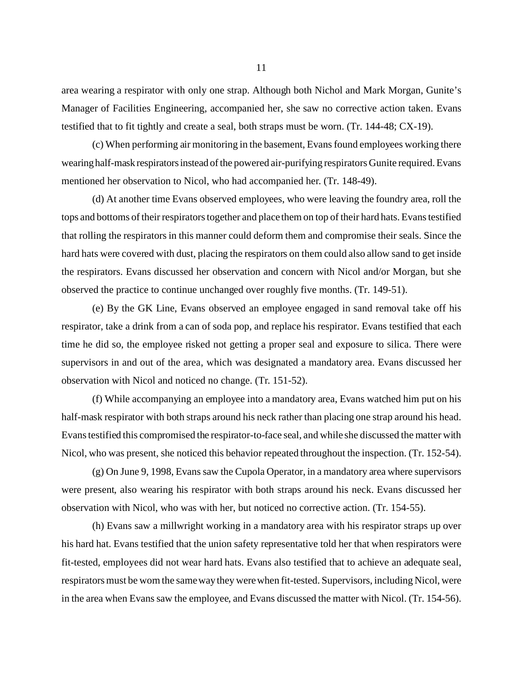area wearing a respirator with only one strap. Although both Nichol and Mark Morgan, Gunite's Manager of Facilities Engineering, accompanied her, she saw no corrective action taken. Evans testified that to fit tightly and create a seal, both straps must be worn. (Tr. 144-48; CX-19).

(c) When performing air monitoring in the basement, Evans found employees working there wearinghalf-mask respiratorsinstead of the powered air-purifying respirators Gunite required. Evans mentioned her observation to Nicol, who had accompanied her. (Tr. 148-49).

(d) At another time Evans observed employees, who were leaving the foundry area, roll the tops and bottoms of their respirators together and place them on top of their hard hats. Evans testified that rolling the respirators in this manner could deform them and compromise their seals. Since the hard hats were covered with dust, placing the respirators on them could also allow sand to get inside the respirators. Evans discussed her observation and concern with Nicol and/or Morgan, but she observed the practice to continue unchanged over roughly five months. (Tr. 149-51).

(e) By the GK Line, Evans observed an employee engaged in sand removal take off his respirator, take a drink from a can of soda pop, and replace his respirator. Evans testified that each time he did so, the employee risked not getting a proper seal and exposure to silica. There were supervisors in and out of the area, which was designated a mandatory area. Evans discussed her observation with Nicol and noticed no change. (Tr. 151-52).

(f) While accompanying an employee into a mandatory area, Evans watched him put on his half-mask respirator with both straps around his neck rather than placing one strap around his head. Evans testified this compromised the respirator-to-face seal, and while she discussed the matter with Nicol, who was present, she noticed this behavior repeated throughout the inspection. (Tr. 152-54).

(g) On June 9, 1998, Evans saw the Cupola Operator, in a mandatory area where supervisors were present, also wearing his respirator with both straps around his neck. Evans discussed her observation with Nicol, who was with her, but noticed no corrective action. (Tr. 154-55).

(h) Evans saw a millwright working in a mandatory area with his respirator straps up over his hard hat. Evans testified that the union safety representative told her that when respirators were fit-tested, employees did not wear hard hats. Evans also testified that to achieve an adequate seal, respirators must be worn the same way they were when fit-tested. Supervisors, including Nicol, were in the area when Evans saw the employee, and Evans discussed the matter with Nicol. (Tr. 154-56).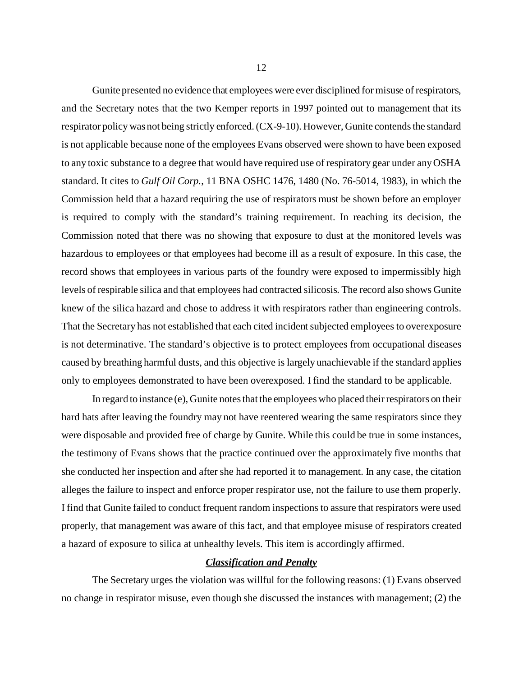Gunite presented no evidence that employees were ever disciplined for misuse of respirators, and the Secretary notes that the two Kemper reports in 1997 pointed out to management that its respirator policy was not being strictly enforced. (CX-9-10). However, Gunite contends the standard is not applicable because none of the employees Evans observed were shown to have been exposed to any toxic substance to a degree that would have required use of respiratory gear under any OSHA standard. It cites to *Gulf Oil Corp.*, 11 BNA OSHC 1476, 1480 (No. 76-5014, 1983), in which the Commission held that a hazard requiring the use of respirators must be shown before an employer is required to comply with the standard's training requirement. In reaching its decision, the Commission noted that there was no showing that exposure to dust at the monitored levels was hazardous to employees or that employees had become ill as a result of exposure. In this case, the record shows that employees in various parts of the foundry were exposed to impermissibly high levels of respirable silica and that employees had contracted silicosis. The record also shows Gunite knew of the silica hazard and chose to address it with respirators rather than engineering controls. That the Secretary has not established that each cited incident subjected employees to overexposure is not determinative. The standard's objective is to protect employees from occupational diseases caused by breathing harmful dusts, and this objective is largely unachievable if the standard applies only to employees demonstrated to have been overexposed. I find the standard to be applicable.

In regard to instance (e), Gunite notes that the employees who placed their respirators on their hard hats after leaving the foundry may not have reentered wearing the same respirators since they were disposable and provided free of charge by Gunite. While this could be true in some instances, the testimony of Evans shows that the practice continued over the approximately five months that she conducted her inspection and after she had reported it to management. In any case, the citation alleges the failure to inspect and enforce proper respirator use, not the failure to use them properly. I find that Gunite failed to conduct frequent random inspections to assure that respirators were used properly, that management was aware of this fact, and that employee misuse of respirators created a hazard of exposure to silica at unhealthy levels. This item is accordingly affirmed.

#### *Classification and Penalty*

The Secretary urges the violation was willful for the following reasons: (1) Evans observed no change in respirator misuse, even though she discussed the instances with management; (2) the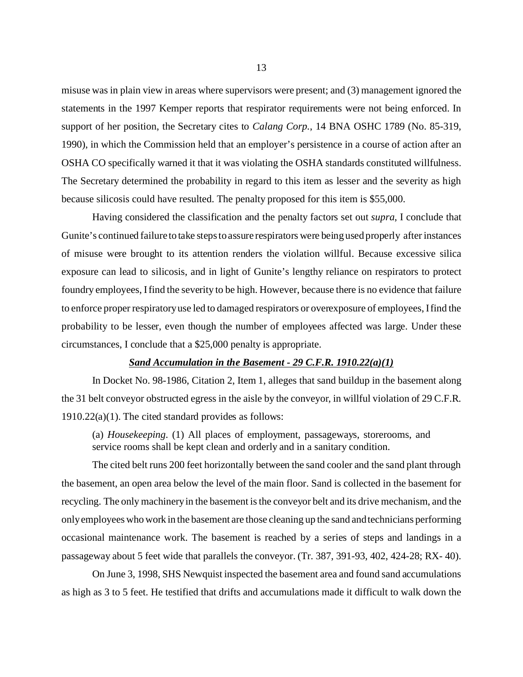misuse was in plain view in areas where supervisors were present; and (3) management ignored the statements in the 1997 Kemper reports that respirator requirements were not being enforced. In support of her position, the Secretary cites to *Calang Corp.*, 14 BNA OSHC 1789 (No. 85-319, 1990), in which the Commission held that an employer's persistence in a course of action after an OSHA CO specifically warned it that it was violating the OSHA standards constituted willfulness. The Secretary determined the probability in regard to this item as lesser and the severity as high because silicosis could have resulted. The penalty proposed for this item is \$55,000.

Having considered the classification and the penalty factors set out *supra*, I conclude that Gunite's continued failure to take steps to assure respirators were being used properly after instances of misuse were brought to its attention renders the violation willful. Because excessive silica exposure can lead to silicosis, and in light of Gunite's lengthy reliance on respirators to protect foundry employees, I find the severity to be high. However, because there is no evidence that failure to enforce proper respiratory use led to damaged respirators or overexposure of employees, I find the probability to be lesser, even though the number of employees affected was large. Under these circumstances, I conclude that a \$25,000 penalty is appropriate.

### *Sand Accumulation in the Basement - 29 C.F.R. 1910.22(a)(1)*

In Docket No. 98-1986, Citation 2, Item 1, alleges that sand buildup in the basement along the 31 belt conveyor obstructed egress in the aisle by the conveyor, in willful violation of 29 C.F.R.  $1910.22(a)(1)$ . The cited standard provides as follows:

(a) *Housekeeping*. (1) All places of employment, passageways, storerooms, and service rooms shall be kept clean and orderly and in a sanitary condition.

The cited belt runs 200 feet horizontally between the sand cooler and the sand plant through the basement, an open area below the level of the main floor. Sand is collected in the basement for recycling. The only machinery in the basement is the conveyor belt and its drive mechanism, and the only employees who work in the basement are those cleaning up the sand and technicians performing occasional maintenance work. The basement is reached by a series of steps and landings in a passageway about 5 feet wide that parallels the conveyor. (Tr. 387, 391-93, 402, 424-28; RX- 40).

On June 3, 1998, SHS Newquist inspected the basement area and found sand accumulations as high as 3 to 5 feet. He testified that drifts and accumulations made it difficult to walk down the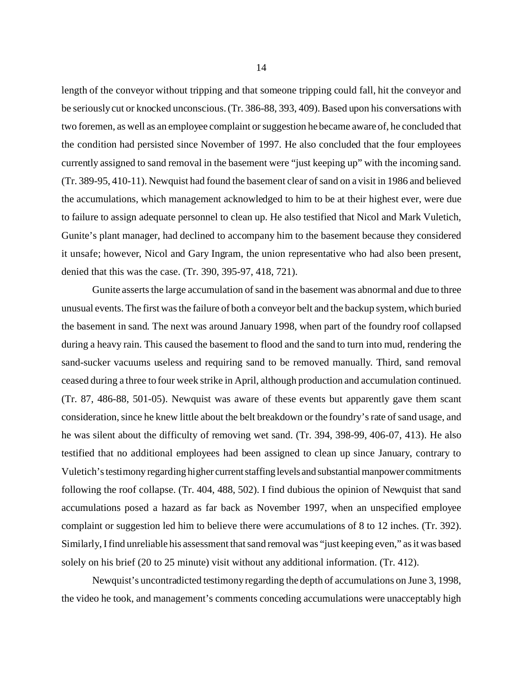length of the conveyor without tripping and that someone tripping could fall, hit the conveyor and be seriously cut or knocked unconscious. (Tr. 386-88, 393, 409). Based upon his conversations with two foremen, as well as an employee complaint or suggestion he became aware of, he concluded that the condition had persisted since November of 1997. He also concluded that the four employees currently assigned to sand removal in the basement were "just keeping up" with the incoming sand. (Tr. 389-95, 410-11). Newquist had found the basement clear of sand on a visit in 1986 and believed the accumulations, which management acknowledged to him to be at their highest ever, were due to failure to assign adequate personnel to clean up. He also testified that Nicol and Mark Vuletich, Gunite's plant manager, had declined to accompany him to the basement because they considered it unsafe; however, Nicol and Gary Ingram, the union representative who had also been present, denied that this was the case. (Tr. 390, 395-97, 418, 721).

Gunite asserts the large accumulation of sand in the basement was abnormal and due to three unusual events. The first was the failure of both a conveyor belt and the backup system, which buried the basement in sand. The next was around January 1998, when part of the foundry roof collapsed during a heavy rain. This caused the basement to flood and the sand to turn into mud, rendering the sand-sucker vacuums useless and requiring sand to be removed manually. Third, sand removal ceased during a three to four week strike in April, although production and accumulation continued. (Tr. 87, 486-88, 501-05). Newquist was aware of these events but apparently gave them scant consideration, since he knew little about the belt breakdown or the foundry's rate of sand usage, and he was silent about the difficulty of removing wet sand. (Tr. 394, 398-99, 406-07, 413). He also testified that no additional employees had been assigned to clean up since January, contrary to Vuletich's testimony regarding higher current staffing levels and substantial manpower commitments following the roof collapse. (Tr. 404, 488, 502). I find dubious the opinion of Newquist that sand accumulations posed a hazard as far back as November 1997, when an unspecified employee complaint or suggestion led him to believe there were accumulations of 8 to 12 inches. (Tr. 392). Similarly, I find unreliable his assessment that sand removal was "just keeping even," as it was based solely on his brief (20 to 25 minute) visit without any additional information. (Tr. 412).

Newquist's uncontradicted testimony regarding the depth of accumulations on June 3, 1998, the video he took, and management's comments conceding accumulations were unacceptably high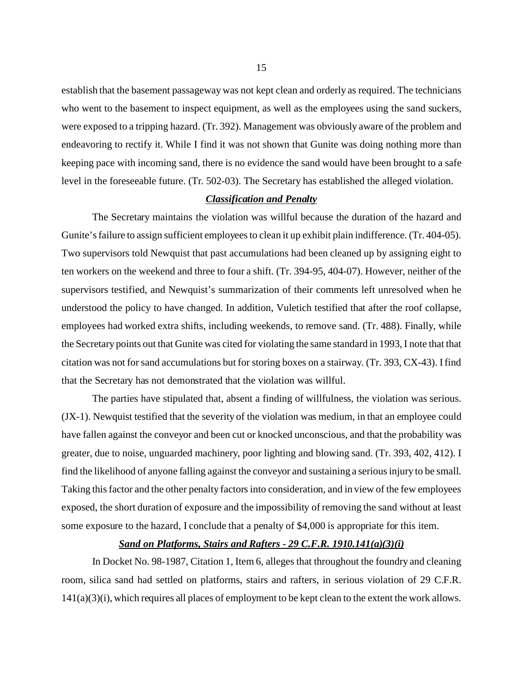establish that the basement passageway was not kept clean and orderly as required. The technicians who went to the basement to inspect equipment, as well as the employees using the sand suckers, were exposed to a tripping hazard. (Tr. 392). Management was obviously aware of the problem and endeavoring to rectify it. While I find it was not shown that Gunite was doing nothing more than keeping pace with incoming sand, there is no evidence the sand would have been brought to a safe level in the foreseeable future. (Tr. 502-03). The Secretary has established the alleged violation.

### *Classification and Penalty*

The Secretary maintains the violation was willful because the duration of the hazard and Gunite's failure to assign sufficient employees to clean it up exhibit plain indifference. (Tr. 404-05). Two supervisors told Newquist that past accumulations had been cleaned up by assigning eight to ten workers on the weekend and three to four a shift. (Tr. 394-95, 404-07). However, neither of the supervisors testified, and Newquist's summarization of their comments left unresolved when he understood the policy to have changed. In addition, Vuletich testified that after the roof collapse, employees had worked extra shifts, including weekends, to remove sand. (Tr. 488). Finally, while the Secretary points out that Gunite was cited for violating the same standard in 1993, I note that that citation was not for sand accumulations but for storing boxes on a stairway. (Tr. 393, CX-43). I find that the Secretary has not demonstrated that the violation was willful.

The parties have stipulated that, absent a finding of willfulness, the violation was serious. (JX-1). Newquist testified that the severity of the violation was medium, in that an employee could have fallen against the conveyor and been cut or knocked unconscious, and that the probability was greater, due to noise, unguarded machinery, poor lighting and blowing sand. (Tr. 393, 402, 412). I find the likelihood of anyone falling against the conveyor and sustaining a serious injury to be small. Taking this factor and the other penalty factors into consideration, and in view of the few employees exposed, the short duration of exposure and the impossibility of removing the sand without at least some exposure to the hazard, I conclude that a penalty of \$4,000 is appropriate for this item.

### *Sand on Platforms, Stairs and Rafters - 29 C.F.R. 1910.141(a)(3)(i)*

In Docket No. 98-1987, Citation 1, Item 6, alleges that throughout the foundry and cleaning room, silica sand had settled on platforms, stairs and rafters, in serious violation of 29 C.F.R. 141(a)(3)(i), which requires all places of employment to be kept clean to the extent the work allows.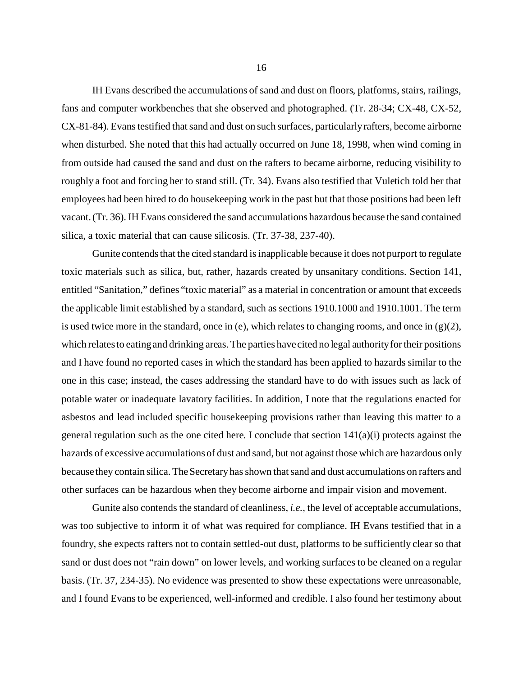IH Evans described the accumulations of sand and dust on floors, platforms, stairs, railings, fans and computer workbenches that she observed and photographed. (Tr. 28-34; CX-48, CX-52, CX-81-84). Evans testified that sand and dust on such surfaces, particularly rafters, become airborne when disturbed. She noted that this had actually occurred on June 18, 1998, when wind coming in from outside had caused the sand and dust on the rafters to became airborne, reducing visibility to roughly a foot and forcing her to stand still. (Tr. 34). Evans also testified that Vuletich told her that employees had been hired to do housekeeping work in the past but that those positions had been left vacant. (Tr. 36). IH Evans considered the sand accumulations hazardous because the sand contained silica, a toxic material that can cause silicosis. (Tr. 37-38, 237-40).

Gunite contends that the cited standard is inapplicable because it does not purport to regulate toxic materials such as silica, but, rather, hazards created by unsanitary conditions. Section 141, entitled "Sanitation," defines "toxic material" as a material in concentration or amount that exceeds the applicable limit established by a standard, such as sections 1910.1000 and 1910.1001. The term is used twice more in the standard, once in (e), which relates to changing rooms, and once in  $(g)(2)$ , which relates to eating and drinking areas. The parties have cited no legal authority for their positions and I have found no reported cases in which the standard has been applied to hazards similar to the one in this case; instead, the cases addressing the standard have to do with issues such as lack of potable water or inadequate lavatory facilities. In addition, I note that the regulations enacted for asbestos and lead included specific housekeeping provisions rather than leaving this matter to a general regulation such as the one cited here. I conclude that section 141(a)(i) protects against the hazards of excessive accumulations of dust and sand, but not against those which are hazardous only because they contain silica. The Secretary has shown that sand and dust accumulations on rafters and other surfaces can be hazardous when they become airborne and impair vision and movement.

Gunite also contends the standard of cleanliness, *i.e.*, the level of acceptable accumulations, was too subjective to inform it of what was required for compliance. IH Evans testified that in a foundry, she expects rafters not to contain settled-out dust, platforms to be sufficiently clear so that sand or dust does not "rain down" on lower levels, and working surfaces to be cleaned on a regular basis. (Tr. 37, 234-35). No evidence was presented to show these expectations were unreasonable, and I found Evans to be experienced, well-informed and credible. I also found her testimony about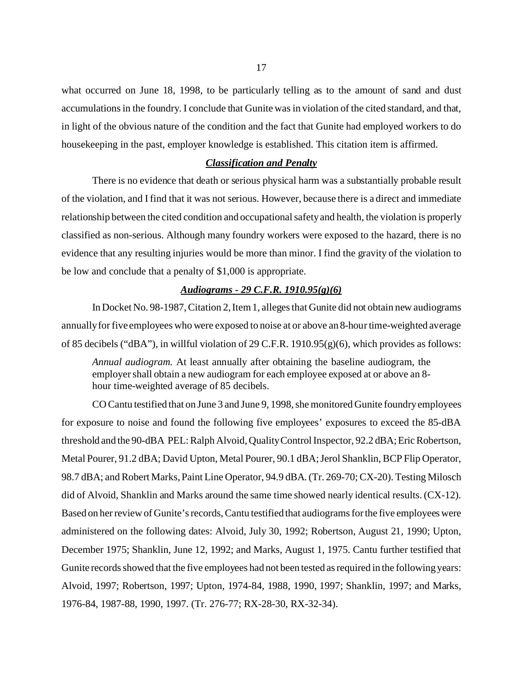what occurred on June 18, 1998, to be particularly telling as to the amount of sand and dust accumulations in the foundry. I conclude that Gunite was in violation of the cited standard, and that, in light of the obvious nature of the condition and the fact that Gunite had employed workers to do housekeeping in the past, employer knowledge is established. This citation item is affirmed.

#### *Classification and Penalty*

There is no evidence that death or serious physical harm was a substantially probable result of the violation, and I find that it was not serious. However, because there is a direct and immediate relationship between the cited condition and occupational safety and health, the violation is properly classified as non-serious. Although many foundry workers were exposed to the hazard, there is no evidence that any resulting injuries would be more than minor. I find the gravity of the violation to be low and conclude that a penalty of \$1,000 is appropriate.

#### *Audiograms - 29 C.F.R. 1910.95(g)(6)*

In Docket No. 98-1987, Citation 2, Item 1, alleges that Gunite did not obtain new audiograms annually for five employees who were exposed to noise at or above an 8-hour time-weighted average of 85 decibels ("dBA"), in willful violation of 29 C.F.R. 1910.95(g)(6), which provides as follows:

*Annual audiogram.* At least annually after obtaining the baseline audiogram, the employer shall obtain a new audiogram for each employee exposed at or above an 8 hour time-weighted average of 85 decibels.

CO Cantu testified that on June 3 and June 9, 1998, she monitored Gunite foundry employees for exposure to noise and found the following five employees' exposures to exceed the 85-dBA threshold and the 90-dBA PEL: Ralph Alvoid, Quality Control Inspector, 92.2 dBA;Eric Robertson, Metal Pourer, 91.2 dBA; David Upton, Metal Pourer, 90.1 dBA; Jerol Shanklin, BCP Flip Operator, 98.7 dBA; and Robert Marks, Paint Line Operator, 94.9 dBA. (Tr. 269-70; CX-20). Testing Milosch did of Alvoid, Shanklin and Marks around the same time showed nearly identical results. (CX-12). Based on her review of Gunite's records, Cantu testified that audiograms for the five employees were administered on the following dates: Alvoid, July 30, 1992; Robertson, August 21, 1990; Upton, December 1975; Shanklin, June 12, 1992; and Marks, August 1, 1975. Cantu further testified that Gunite records showed that the five employees had not been tested as required in the following years: Alvoid, 1997; Robertson, 1997; Upton, 1974-84, 1988, 1990, 1997; Shanklin, 1997; and Marks, 1976-84, 1987-88, 1990, 1997. (Tr. 276-77; RX-28-30, RX-32-34).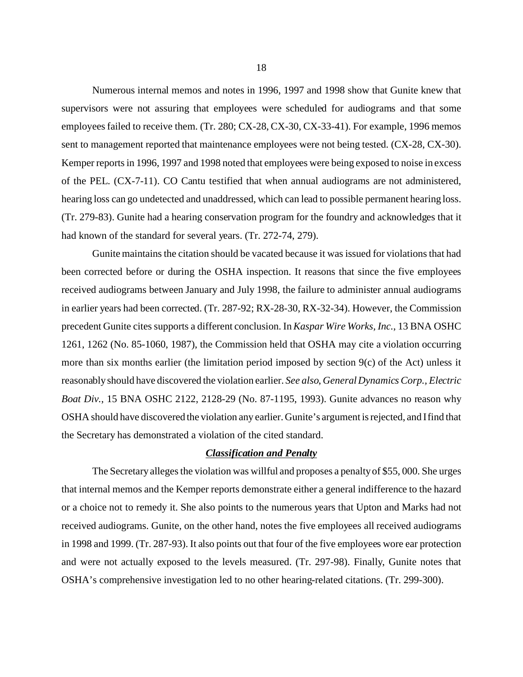Numerous internal memos and notes in 1996, 1997 and 1998 show that Gunite knew that supervisors were not assuring that employees were scheduled for audiograms and that some employees failed to receive them. (Tr. 280; CX-28, CX-30, CX-33-41). For example, 1996 memos sent to management reported that maintenance employees were not being tested. (CX-28, CX-30). Kemper reports in 1996, 1997 and 1998 noted that employees were being exposed to noise in excess of the PEL. (CX-7-11). CO Cantu testified that when annual audiograms are not administered, hearing loss can go undetected and unaddressed, which can lead to possible permanent hearing loss. (Tr. 279-83). Gunite had a hearing conservation program for the foundry and acknowledges that it had known of the standard for several years. (Tr. 272-74, 279).

Gunite maintains the citation should be vacated because it was issued for violations that had been corrected before or during the OSHA inspection. It reasons that since the five employees received audiograms between January and July 1998, the failure to administer annual audiograms in earlier years had been corrected. (Tr. 287-92; RX-28-30, RX-32-34). However, the Commission precedent Gunite cites supports a different conclusion. In *Kaspar Wire Works, Inc.*, 13 BNA OSHC 1261, 1262 (No. 85-1060, 1987), the Commission held that OSHA may cite a violation occurring more than six months earlier (the limitation period imposed by section 9(c) of the Act) unless it reasonably should have discovered the violation earlier. *See also*, *General Dynamics Corp., Electric Boat Div.*, 15 BNA OSHC 2122, 2128-29 (No. 87-1195, 1993). Gunite advances no reason why OSHA should have discovered the violation any earlier. Gunite's argument is rejected, and I find that the Secretary has demonstrated a violation of the cited standard.

#### *Classification and Penalty*

The Secretary alleges the violation was willful and proposes a penalty of \$55, 000. She urges that internal memos and the Kemper reports demonstrate either a general indifference to the hazard or a choice not to remedy it. She also points to the numerous years that Upton and Marks had not received audiograms. Gunite, on the other hand, notes the five employees all received audiograms in 1998 and 1999. (Tr. 287-93). It also points out that four of the five employees wore ear protection and were not actually exposed to the levels measured. (Tr. 297-98). Finally, Gunite notes that OSHA's comprehensive investigation led to no other hearing-related citations. (Tr. 299-300).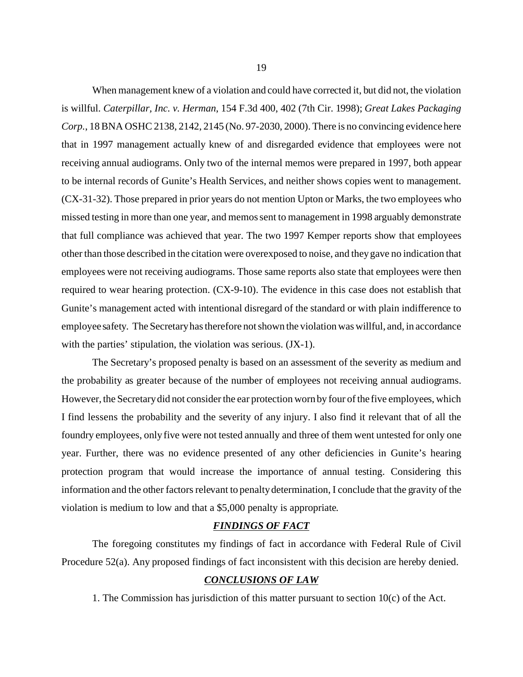When management knew of a violation and could have corrected it, but did not, the violation is willful. *Caterpillar, Inc. v. Herman*, 154 F.3d 400, 402 (7th Cir. 1998); *Great Lakes Packaging Corp.*, 18 BNA OSHC 2138, 2142, 2145 (No. 97-2030, 2000). There is no convincing evidence here that in 1997 management actually knew of and disregarded evidence that employees were not receiving annual audiograms. Only two of the internal memos were prepared in 1997, both appear to be internal records of Gunite's Health Services, and neither shows copies went to management. (CX-31-32). Those prepared in prior years do not mention Upton or Marks, the two employees who missed testing in more than one year, and memos sent to management in 1998 arguably demonstrate that full compliance was achieved that year. The two 1997 Kemper reports show that employees other than those described in the citation were overexposed to noise, and they gave no indication that employees were not receiving audiograms. Those same reports also state that employees were then required to wear hearing protection. (CX-9-10). The evidence in this case does not establish that Gunite's management acted with intentional disregard of the standard or with plain indifference to employee safety. The Secretary has therefore not shown the violation was willful, and, in accordance with the parties' stipulation, the violation was serious. (JX-1).

The Secretary's proposed penalty is based on an assessment of the severity as medium and the probability as greater because of the number of employees not receiving annual audiograms. However, the Secretary did not consider the ear protection worn by four of the five employees, which I find lessens the probability and the severity of any injury. I also find it relevant that of all the foundry employees, only five were not tested annually and three of them went untested for only one year. Further, there was no evidence presented of any other deficiencies in Gunite's hearing protection program that would increase the importance of annual testing. Considering this information and the other factors relevant to penalty determination, I conclude that the gravity of the violation is medium to low and that a \$5,000 penalty is appropriate.

### *FINDINGS OF FACT*

The foregoing constitutes my findings of fact in accordance with Federal Rule of Civil Procedure 52(a). Any proposed findings of fact inconsistent with this decision are hereby denied.

### *CONCLUSIONS OF LAW*

1. The Commission has jurisdiction of this matter pursuant to section 10(c) of the Act.